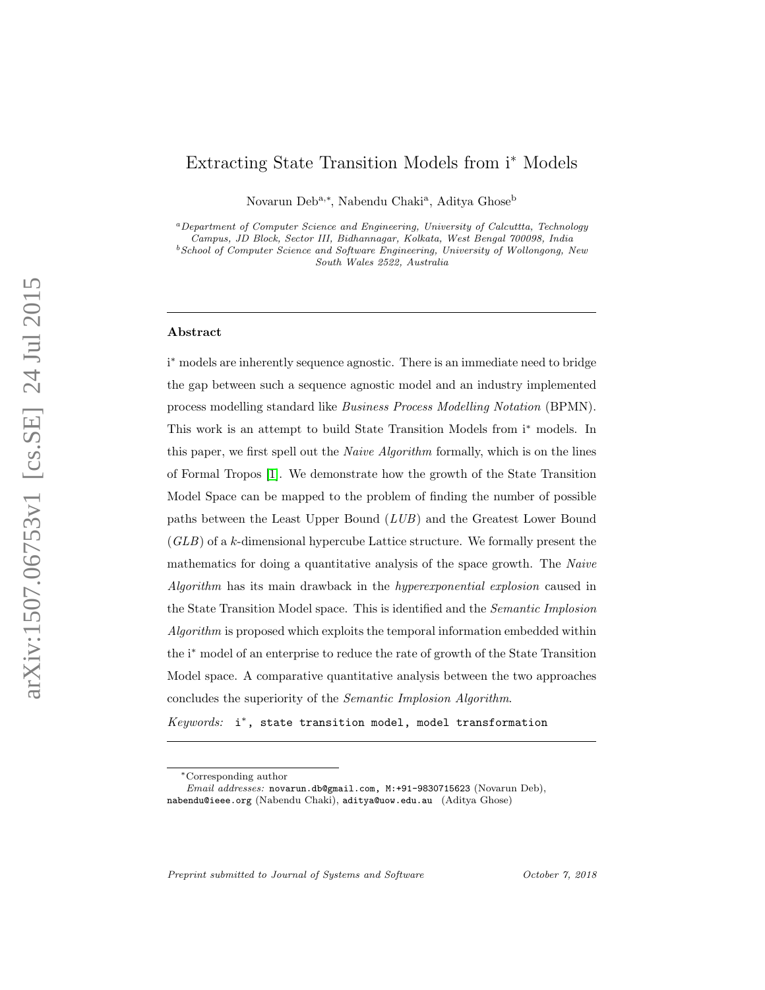# Extracting State Transition Models from i<sup>∗</sup> Models

Novarun Deb<sup>a,∗</sup>, Nabendu Chaki<sup>a</sup>, Aditya Ghose<sup>b</sup>

<sup>a</sup>Department of Computer Science and Engineering, University of Calcuttta, Technology Campus, JD Block, Sector III, Bidhannagar, Kolkata, West Bengal 700098, India  $^{b}$ School of Computer Science and Software Engineering, University of Wollongong, New South Wales 2522, Australia

#### Abstract

i <sup>∗</sup> models are inherently sequence agnostic. There is an immediate need to bridge the gap between such a sequence agnostic model and an industry implemented process modelling standard like Business Process Modelling Notation (BPMN). This work is an attempt to build State Transition Models from i<sup>∗</sup> models. In this paper, we first spell out the Naive Algorithm formally, which is on the lines of Formal Tropos [\[1\]](#page-38-0). We demonstrate how the growth of the State Transition Model Space can be mapped to the problem of finding the number of possible paths between the Least Upper Bound (LUB) and the Greatest Lower Bound  $(GLB)$  of a k-dimensional hypercube Lattice structure. We formally present the mathematics for doing a quantitative analysis of the space growth. The Naive Algorithm has its main drawback in the hyperexponential explosion caused in the State Transition Model space. This is identified and the Semantic Implosion Algorithm is proposed which exploits the temporal information embedded within the i<sup>∗</sup> model of an enterprise to reduce the rate of growth of the State Transition Model space. A comparative quantitative analysis between the two approaches concludes the superiority of the Semantic Implosion Algorithm.

Keywords: i\*, state transition model, model transformation

Preprint submitted to Journal of Systems and Software  $October \gamma$ , 2018

<sup>∗</sup>Corresponding author

Email addresses: novarun.db@gmail.com, M:+91-9830715623 (Novarun Deb), nabendu@ieee.org (Nabendu Chaki), aditya@uow.edu.au (Aditya Ghose)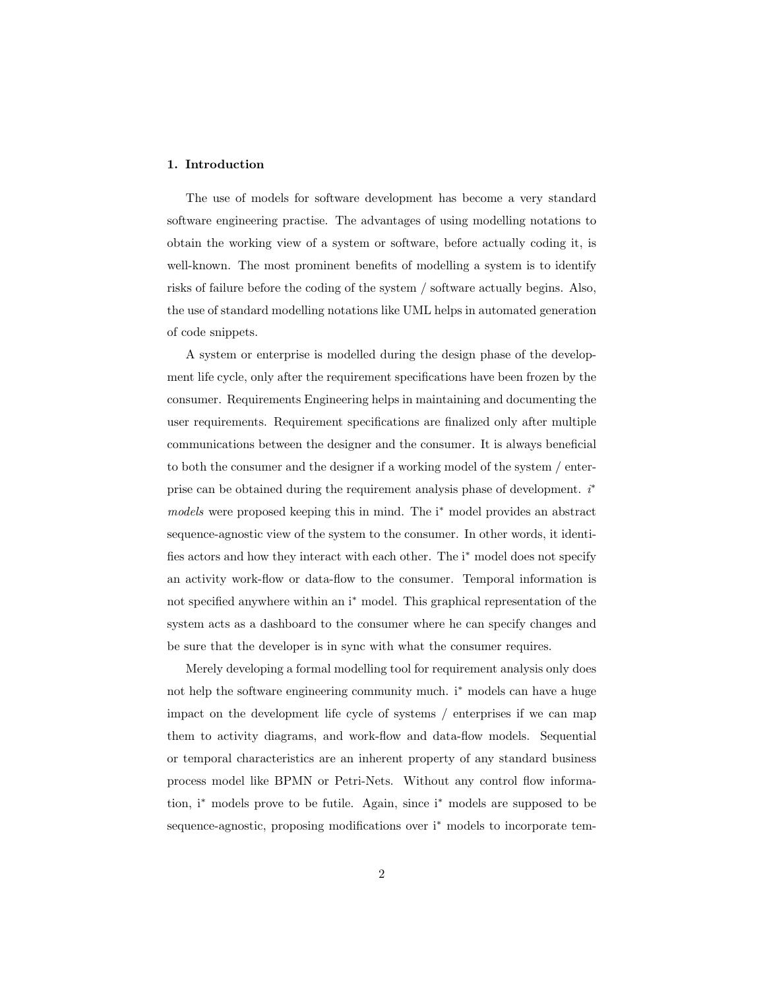## 1. Introduction

The use of models for software development has become a very standard software engineering practise. The advantages of using modelling notations to obtain the working view of a system or software, before actually coding it, is well-known. The most prominent benefits of modelling a system is to identify risks of failure before the coding of the system / software actually begins. Also, the use of standard modelling notations like UML helps in automated generation of code snippets.

A system or enterprise is modelled during the design phase of the development life cycle, only after the requirement specifications have been frozen by the consumer. Requirements Engineering helps in maintaining and documenting the user requirements. Requirement specifications are finalized only after multiple communications between the designer and the consumer. It is always beneficial to both the consumer and the designer if a working model of the system / enterprise can be obtained during the requirement analysis phase of development.  $i^*$ models were proposed keeping this in mind. The i<sup>∗</sup> model provides an abstract sequence-agnostic view of the system to the consumer. In other words, it identifies actors and how they interact with each other. The i<sup>\*</sup> model does not specify an activity work-flow or data-flow to the consumer. Temporal information is not specified anywhere within an i<sup>∗</sup> model. This graphical representation of the system acts as a dashboard to the consumer where he can specify changes and be sure that the developer is in sync with what the consumer requires.

Merely developing a formal modelling tool for requirement analysis only does not help the software engineering community much. i<sup>∗</sup> models can have a huge impact on the development life cycle of systems / enterprises if we can map them to activity diagrams, and work-flow and data-flow models. Sequential or temporal characteristics are an inherent property of any standard business process model like BPMN or Petri-Nets. Without any control flow information, i<sup>∗</sup> models prove to be futile. Again, since i<sup>∗</sup> models are supposed to be sequence-agnostic, proposing modifications over i<sup>\*</sup> models to incorporate tem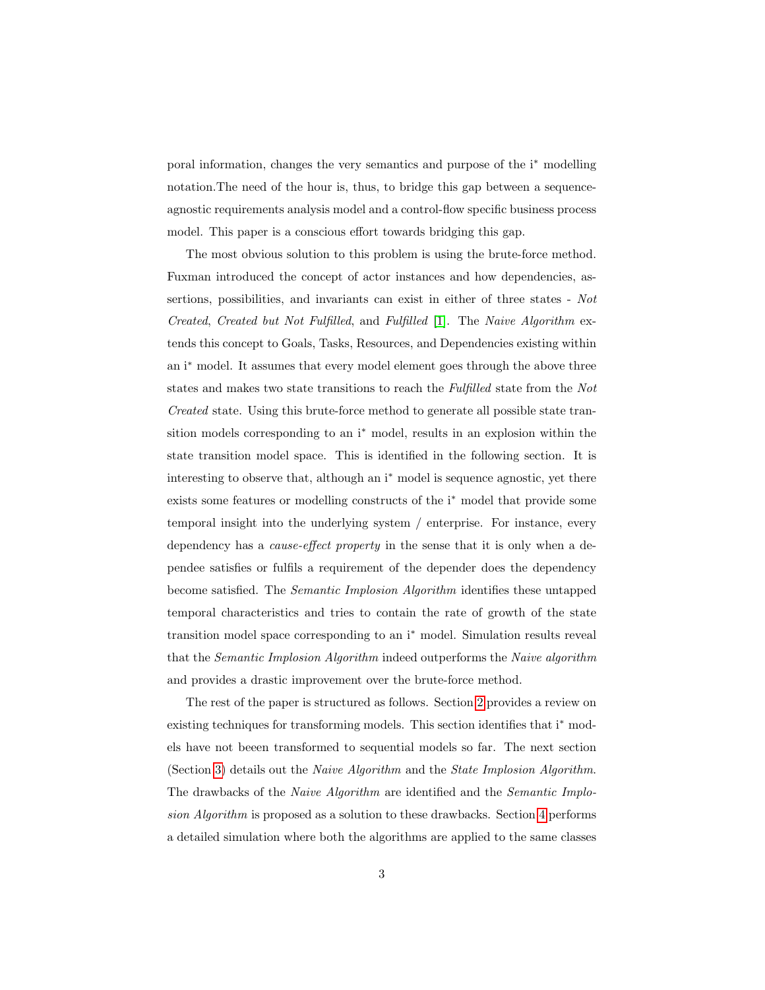poral information, changes the very semantics and purpose of the i<sup>∗</sup> modelling notation.The need of the hour is, thus, to bridge this gap between a sequenceagnostic requirements analysis model and a control-flow specific business process model. This paper is a conscious effort towards bridging this gap.

The most obvious solution to this problem is using the brute-force method. Fuxman introduced the concept of actor instances and how dependencies, assertions, possibilities, and invariants can exist in either of three states - Not Created, Created but Not Fulfilled, and Fulfilled [\[1\]](#page-38-0). The Naive Algorithm extends this concept to Goals, Tasks, Resources, and Dependencies existing within an i<sup>∗</sup> model. It assumes that every model element goes through the above three states and makes two state transitions to reach the Fulfilled state from the Not Created state. Using this brute-force method to generate all possible state transition models corresponding to an i<sup>\*</sup> model, results in an explosion within the state transition model space. This is identified in the following section. It is interesting to observe that, although an i<sup>∗</sup> model is sequence agnostic, yet there exists some features or modelling constructs of the i<sup>∗</sup> model that provide some temporal insight into the underlying system / enterprise. For instance, every dependency has a *cause-effect property* in the sense that it is only when a dependee satisfies or fulfils a requirement of the depender does the dependency become satisfied. The Semantic Implosion Algorithm identifies these untapped temporal characteristics and tries to contain the rate of growth of the state transition model space corresponding to an i<sup>∗</sup> model. Simulation results reveal that the Semantic Implosion Algorithm indeed outperforms the Naive algorithm and provides a drastic improvement over the brute-force method.

The rest of the paper is structured as follows. Section [2](#page-3-0) provides a review on existing techniques for transforming models. This section identifies that i<sup>∗</sup> models have not beeen transformed to sequential models so far. The next section (Section [3\)](#page-5-0) details out the Naive Algorithm and the State Implosion Algorithm. The drawbacks of the Naive Algorithm are identified and the Semantic Implosion Algorithm is proposed as a solution to these drawbacks. Section [4](#page-25-0) performs a detailed simulation where both the algorithms are applied to the same classes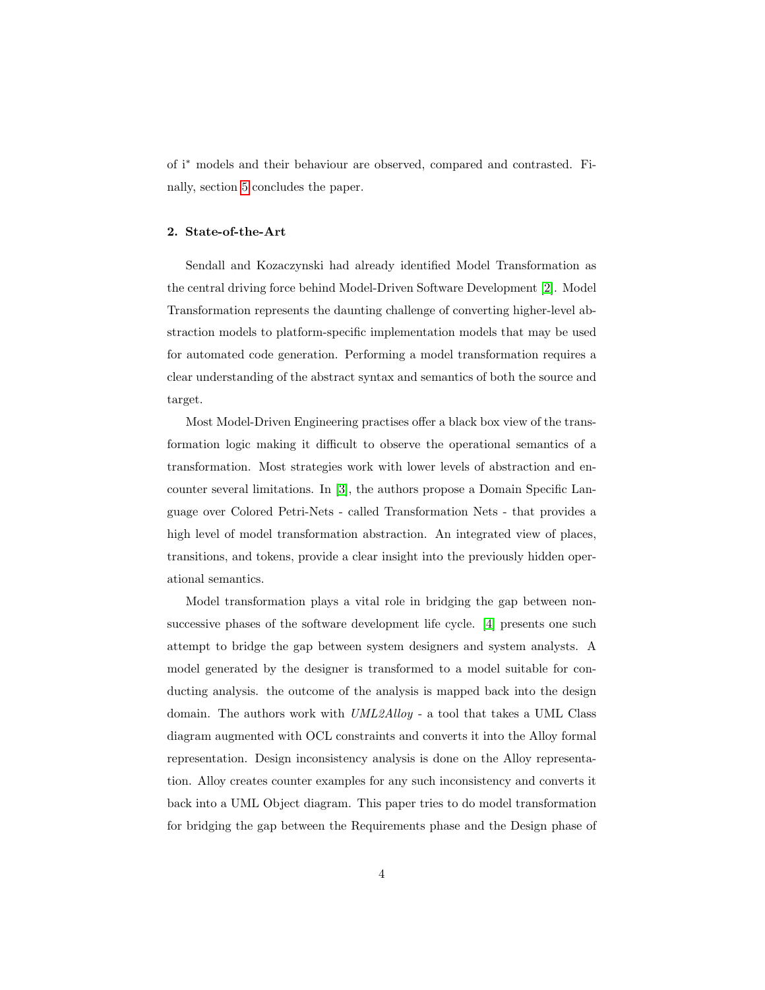of i<sup>∗</sup> models and their behaviour are observed, compared and contrasted. Finally, section [5](#page-36-0) concludes the paper.

### <span id="page-3-0"></span>2. State-of-the-Art

Sendall and Kozaczynski had already identified Model Transformation as the central driving force behind Model-Driven Software Development [\[2\]](#page-38-1). Model Transformation represents the daunting challenge of converting higher-level abstraction models to platform-specific implementation models that may be used for automated code generation. Performing a model transformation requires a clear understanding of the abstract syntax and semantics of both the source and target.

Most Model-Driven Engineering practises offer a black box view of the transformation logic making it difficult to observe the operational semantics of a transformation. Most strategies work with lower levels of abstraction and encounter several limitations. In [\[3\]](#page-39-0), the authors propose a Domain Specific Language over Colored Petri-Nets - called Transformation Nets - that provides a high level of model transformation abstraction. An integrated view of places, transitions, and tokens, provide a clear insight into the previously hidden operational semantics.

Model transformation plays a vital role in bridging the gap between nonsuccessive phases of the software development life cycle. [\[4\]](#page-39-1) presents one such attempt to bridge the gap between system designers and system analysts. A model generated by the designer is transformed to a model suitable for conducting analysis. the outcome of the analysis is mapped back into the design domain. The authors work with UML2Alloy - a tool that takes a UML Class diagram augmented with OCL constraints and converts it into the Alloy formal representation. Design inconsistency analysis is done on the Alloy representation. Alloy creates counter examples for any such inconsistency and converts it back into a UML Object diagram. This paper tries to do model transformation for bridging the gap between the Requirements phase and the Design phase of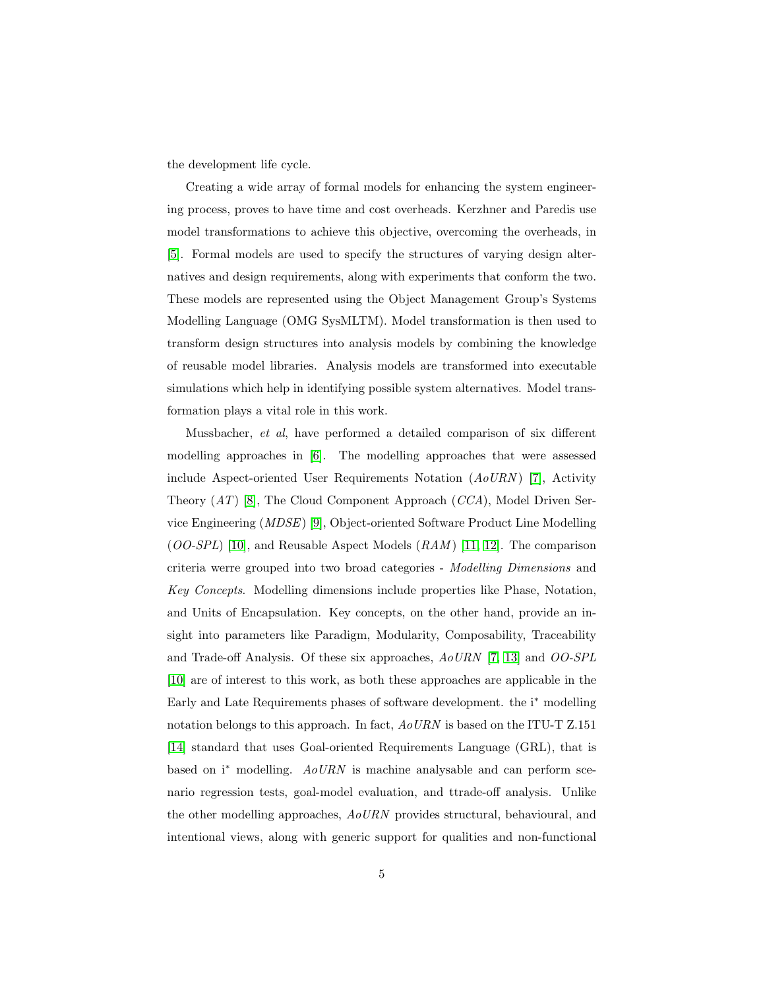the development life cycle.

Creating a wide array of formal models for enhancing the system engineering process, proves to have time and cost overheads. Kerzhner and Paredis use model transformations to achieve this objective, overcoming the overheads, in [\[5\]](#page-39-2). Formal models are used to specify the structures of varying design alternatives and design requirements, along with experiments that conform the two. These models are represented using the Object Management Group's Systems Modelling Language (OMG SysMLTM). Model transformation is then used to transform design structures into analysis models by combining the knowledge of reusable model libraries. Analysis models are transformed into executable simulations which help in identifying possible system alternatives. Model transformation plays a vital role in this work.

Mussbacher, et al, have performed a detailed comparison of six different modelling approaches in [\[6\]](#page-39-3). The modelling approaches that were assessed include Aspect-oriented User Requirements Notation  $(AoURN)$  [\[7\]](#page-39-4), Activity Theory (AT) [\[8\]](#page-39-5), The Cloud Component Approach (CCA), Model Driven Service Engineering (MDSE) [\[9\]](#page-39-6), Object-oriented Software Product Line Modelling  $(OO-SPL)$  [\[10\]](#page-39-7), and Reusable Aspect Models  $(RAM)$  [\[11,](#page-39-8) [12\]](#page-40-0). The comparison criteria werre grouped into two broad categories - Modelling Dimensions and Key Concepts. Modelling dimensions include properties like Phase, Notation, and Units of Encapsulation. Key concepts, on the other hand, provide an insight into parameters like Paradigm, Modularity, Composability, Traceability and Trade-off Analysis. Of these six approaches, AoURN [\[7,](#page-39-4) [13\]](#page-40-1) and OO-SPL [\[10\]](#page-39-7) are of interest to this work, as both these approaches are applicable in the Early and Late Requirements phases of software development. the i<sup>∗</sup> modelling notation belongs to this approach. In fact,  $AoURN$  is based on the ITU-T Z.151 [\[14\]](#page-40-2) standard that uses Goal-oriented Requirements Language (GRL), that is based on i<sup>∗</sup> modelling. AoURN is machine analysable and can perform scenario regression tests, goal-model evaluation, and ttrade-off analysis. Unlike the other modelling approaches, AoURN provides structural, behavioural, and intentional views, along with generic support for qualities and non-functional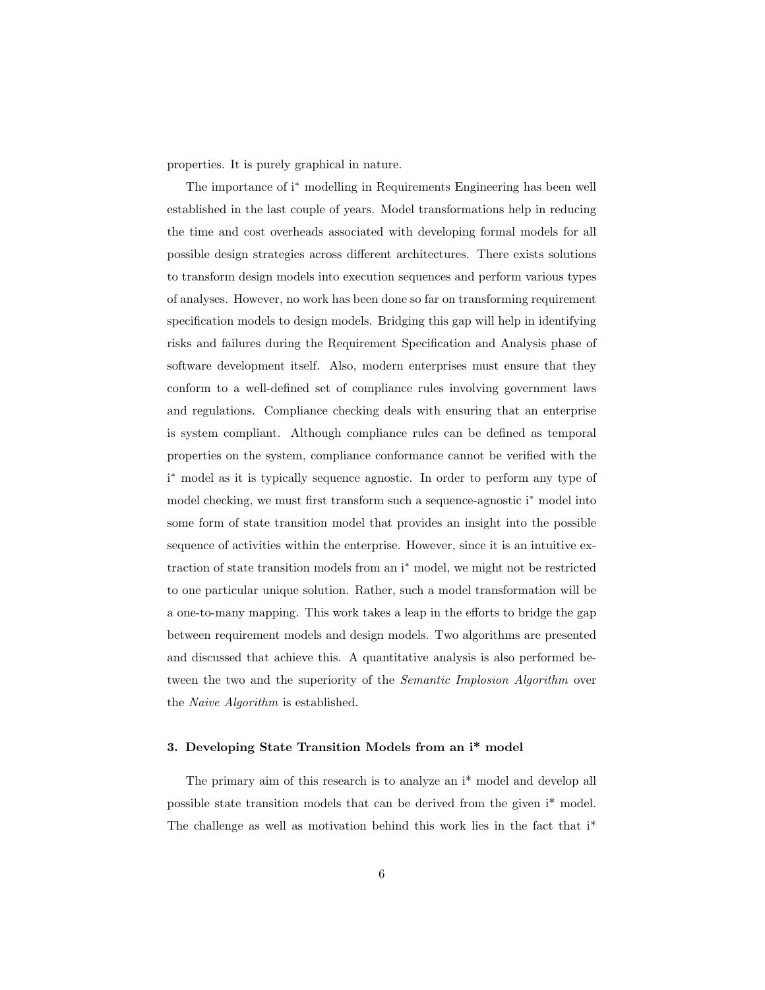properties. It is purely graphical in nature.

The importance of i<sup>∗</sup> modelling in Requirements Engineering has been well established in the last couple of years. Model transformations help in reducing the time and cost overheads associated with developing formal models for all possible design strategies across different architectures. There exists solutions to transform design models into execution sequences and perform various types of analyses. However, no work has been done so far on transforming requirement specification models to design models. Bridging this gap will help in identifying risks and failures during the Requirement Specification and Analysis phase of software development itself. Also, modern enterprises must ensure that they conform to a well-defined set of compliance rules involving government laws and regulations. Compliance checking deals with ensuring that an enterprise is system compliant. Although compliance rules can be defined as temporal properties on the system, compliance conformance cannot be verified with the i <sup>∗</sup> model as it is typically sequence agnostic. In order to perform any type of model checking, we must first transform such a sequence-agnostic i<sup>∗</sup> model into some form of state transition model that provides an insight into the possible sequence of activities within the enterprise. However, since it is an intuitive extraction of state transition models from an i<sup>∗</sup> model, we might not be restricted to one particular unique solution. Rather, such a model transformation will be a one-to-many mapping. This work takes a leap in the efforts to bridge the gap between requirement models and design models. Two algorithms are presented and discussed that achieve this. A quantitative analysis is also performed between the two and the superiority of the Semantic Implosion Algorithm over the Naive Algorithm is established.

## <span id="page-5-0"></span>3. Developing State Transition Models from an i\* model

The primary aim of this research is to analyze an i\* model and develop all possible state transition models that can be derived from the given i\* model. The challenge as well as motivation behind this work lies in the fact that i\*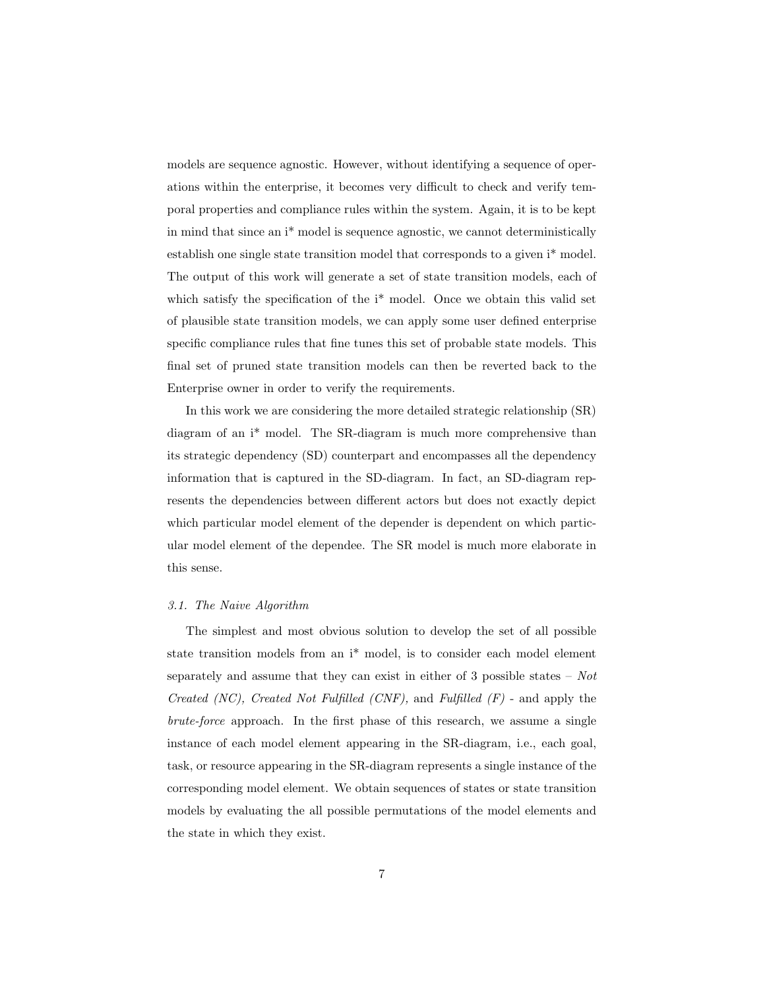models are sequence agnostic. However, without identifying a sequence of operations within the enterprise, it becomes very difficult to check and verify temporal properties and compliance rules within the system. Again, it is to be kept in mind that since an i\* model is sequence agnostic, we cannot deterministically establish one single state transition model that corresponds to a given i\* model. The output of this work will generate a set of state transition models, each of which satisfy the specification of the i<sup>\*</sup> model. Once we obtain this valid set of plausible state transition models, we can apply some user defined enterprise specific compliance rules that fine tunes this set of probable state models. This final set of pruned state transition models can then be reverted back to the Enterprise owner in order to verify the requirements.

In this work we are considering the more detailed strategic relationship (SR) diagram of an i\* model. The SR-diagram is much more comprehensive than its strategic dependency (SD) counterpart and encompasses all the dependency information that is captured in the SD-diagram. In fact, an SD-diagram represents the dependencies between different actors but does not exactly depict which particular model element of the depender is dependent on which particular model element of the dependee. The SR model is much more elaborate in this sense.

## <span id="page-6-0"></span>3.1. The Naive Algorithm

The simplest and most obvious solution to develop the set of all possible state transition models from an i\* model, is to consider each model element separately and assume that they can exist in either of 3 possible states –  $Not$ Created (NC), Created Not Fulfilled (CNF), and Fulfilled  $(F)$  - and apply the brute-force approach. In the first phase of this research, we assume a single instance of each model element appearing in the SR-diagram, i.e., each goal, task, or resource appearing in the SR-diagram represents a single instance of the corresponding model element. We obtain sequences of states or state transition models by evaluating the all possible permutations of the model elements and the state in which they exist.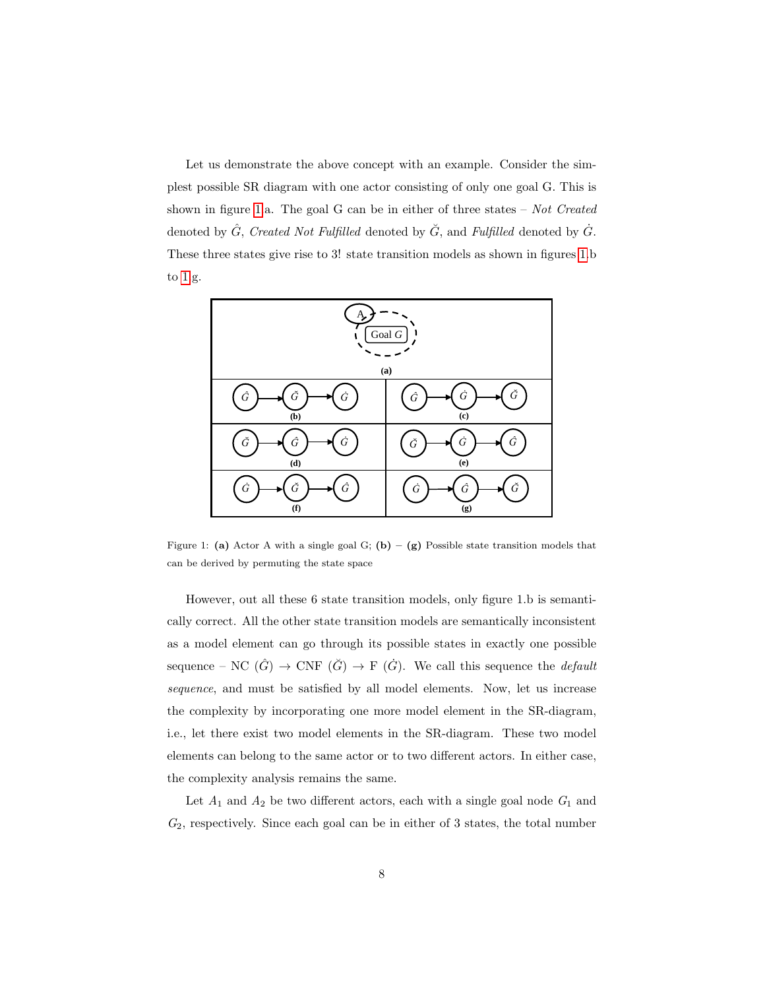Let us demonstrate the above concept with an example. Consider the simplest possible SR diagram with one actor consisting of only one goal G. This is shown in figure [1.](#page-7-0)a. The goal G can be in either of three states  $-$  Not Created denoted by  $\hat{G}$ , Created Not Fulfilled denoted by  $\check{G}$ , and Fulfilled denoted by  $\dot{G}$ . These three states give rise to 3! state transition models as shown in figures [1.](#page-7-0)b to [1.](#page-7-0)g. they can exist in either of 3 possible states – *Not Created (NC), Created Not Fulfilled (CNF),* and prove possible sets diagram, i.e., end alone considering or only one goal of represent transition models by evaluating the all possible permutations of the process elements and the state in  $\mathcal{L}_\mathcal{A}$ denoted by  $\epsilon$ with one action consisting of one goal on the goal *G. This is shown in figures* 1.a.  $\alpha$  of  $\alpha$ ,  $\beta$ ,  $\alpha$ ,  $\beta$ , and  $\beta$ , and  $\beta$ , and  $\beta$ , and  $\beta$ 



<span id="page-7-0"></span>Figure 1: (a) Actor A with a single goal G; (b) – (g) Possible state transition models that can be derived by permuting the state space

However, out all these 6 state transition models, only figure 1.b is semantically correct. All the other state transition models are semantically inconsistent as a model element can go through its possible states in exactly one possible sequence – NC  $(\hat{G}) \rightarrow \text{CNF} (\check{G}) \rightarrow \text{F} (\check{G})$ . We call this sequence the *default* sequence, and must be satisfied by all model elements. Now, let us increase the complexity by incorporating one more model element in the SR-diagram, i.e., let there exist two model elements in the SR-diagram. These two model elements can belong to the same actor or to two different actors. In either case, the complexity analysis remains the same.

Let  $A_1$  and  $A_2$  be two different actors, each with a single goal node  $G_1$  and  $G_2$ , respectively. Since each goal can be in either of 3 states, the total number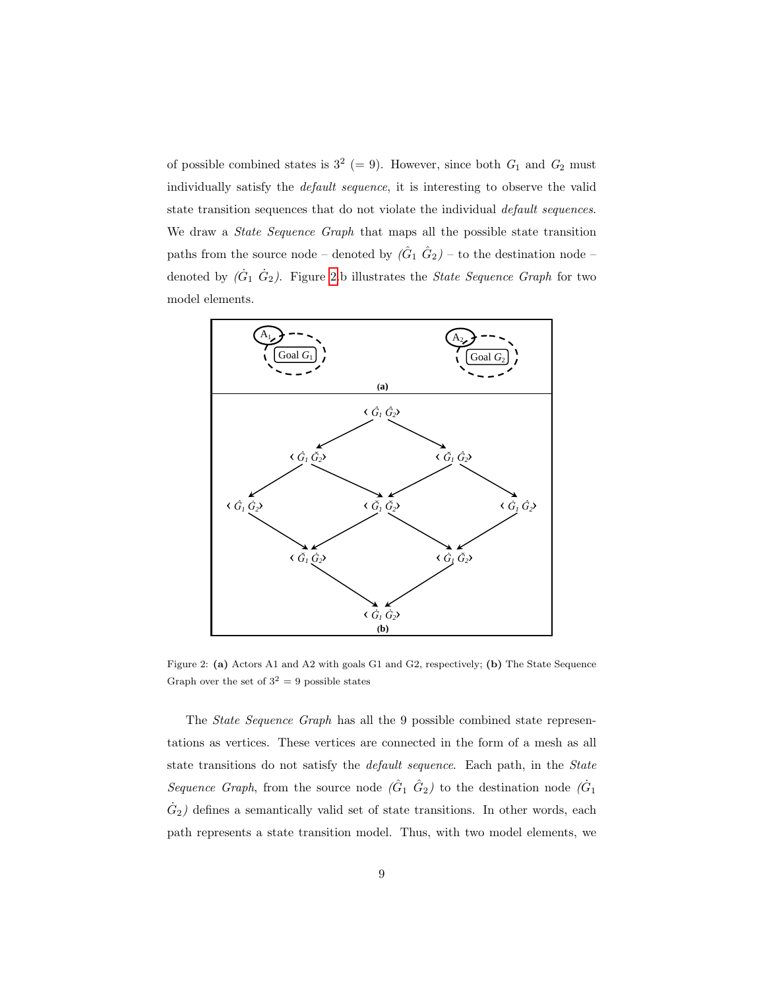of possible combined states is  $3^2$  (= 9). However, since both  $G_1$  and  $G_2$  must individually satisfy the *default sequence*, it is interesting to observe the valid state transition sequences that do not violate the individual *default sequences*. We draw a *State Sequence Graph* that maps all the possible state transition paths from the source node – denoted by  $(\hat{G}_1 \hat{G}_2)$  – to the destination node – denoted by  $(\dot{G}_1 \dot{G}_2)$ . Figure [2.](#page-8-0)b illustrates the *State Sequence Graph* for two denoted by (*G*<sup>1</sup>  $\alpha$ <sup>2</sup>) – to the destination node  $\alpha$ <sup>2</sup> of possible combined states is  $3^2$  (= 9). However, since both  $G_1$  and  $G_2$  must individually satisfy the *default sequence*, it is interesting to observe the valid state transition sequences that go not violate the individual paths from the source hode – denoted by  $(G_1 \ G_2)$  – to the destination node – denoted by  $(\sigma_1 \ \sigma_2)$ . Figure 2.6 intestrates the *blate bequence Graph* for two

other state transition models are semantically inconsistent as a process element can go through its  $\alpha$ 



<span id="page-8-0"></span>Figure 2: (a) Actors A1 and A2 with goals G1 and G2, respectively; (b) The State Sequence  $Graph over the set of  $3^2 - 9$  possible states$ Graph over the set of  $3^2 = 9$  possible states

The  $\mathcal{C}$ tate  $\mathcal{C}$ egy value  $\mathcal{C}$  over  $h$  has all the 0 perceible combined state represents The State Sequence Graph has all the 9 possible combined state representations as vertices. These vertices are connected in the form of a mesh as all state transitions do not satisfy the *default sequence*. Each path, in the *State* Sequence Graph, from the source node  $(\hat{G}_1 \hat{G}_2)$  to the destination node  $(\hat{G}_1$  $\dot{G}_2$ ) defines a semantically valid set of state transitions. In other words, each path represents a state transition model. Thus, with two model elements, we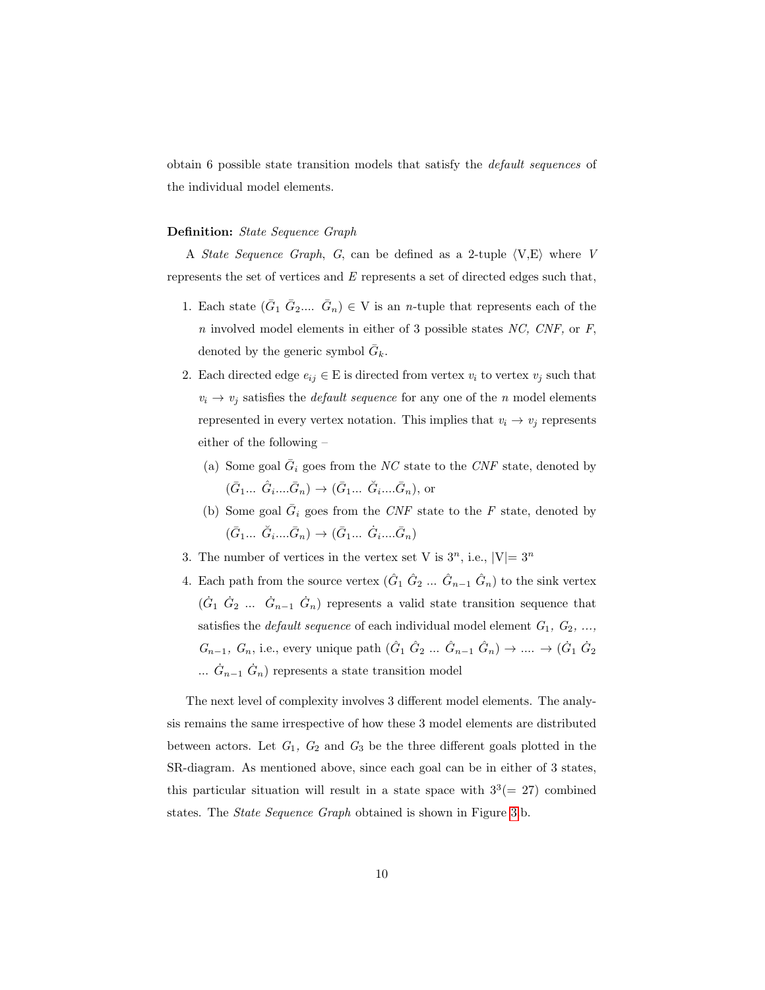obtain 6 possible state transition models that satisfy the default sequences of the individual model elements.

## Definition: State Sequence Graph

A *State Sequence Graph*, G, can be defined as a 2-tuple  $\langle V, E \rangle$  where V represents the set of vertices and  $E$  represents a set of directed edges such that,

- 1. Each state  $(\bar{G}_1 \bar{G}_2 ... \bar{G}_n) \in V$  is an *n*-tuple that represents each of the  $n$  involved model elements in either of 3 possible states  $NC$ ,  $CNF$ , or  $F$ , denoted by the generic symbol  $\bar{G}_k$ .
- 2. Each directed edge  $e_{ij} \in E$  is directed from vertex  $v_i$  to vertex  $v_j$  such that  $v_i \rightarrow v_j$  satisfies the *default sequence* for any one of the *n* model elements represented in every vertex notation. This implies that  $v_i \rightarrow v_j$  represents either of the following –
	- (a) Some goal  $\overline{G}_i$  goes from the NC state to the CNF state, denoted by  $(\bar{G}_1... \hat{G}_i... \bar{G}_n) \to (\bar{G}_1... \hat{G}_i... \bar{G}_n)$ , or
	- (b) Some goal  $\overline{G}_i$  goes from the CNF state to the F state, denoted by  $(\bar{G}_1 ... \ \check{G}_i ... \bar{G}_n) \rightarrow (\bar{G}_1 ... \ \dot{G}_i ... \bar{G}_n)$
- 3. The number of vertices in the vertex set V is  $3^n$ , i.e.,  $|V|=3^n$
- 4. Each path from the source vertex  $(\hat{G}_1 \; \hat{G}_2 \; ... \; \hat{G}_{n-1} \; \hat{G}_n)$  to the sink vertex  $(\dot{G}_1 \dot{G}_2 \dots \dot{G}_{n-1} \dot{G}_n)$  represents a valid state transition sequence that satisfies the *default sequence* of each individual model element  $G_1, G_2, ...,$  $G_{n-1}, G_n$ , i.e., every unique path  $(\hat{G}_1 \hat{G}_2 ... \hat{G}_{n-1} \hat{G}_n) \rightarrow ... \rightarrow (\hat{G}_1 \hat{G}_2)$  $\ldots$   $\dot{G}_{n-1}$   $\dot{G}_n$ ) represents a state transition model

The next level of complexity involves 3 different model elements. The analysis remains the same irrespective of how these 3 model elements are distributed between actors. Let  $G_1$ ,  $G_2$  and  $G_3$  be the three different goals plotted in the SR-diagram. As mentioned above, since each goal can be in either of 3 states, this particular situation will result in a state space with  $3<sup>3</sup>(= 27)$  combined states. The State Sequence Graph obtained is shown in Figure [3.](#page-10-0)b.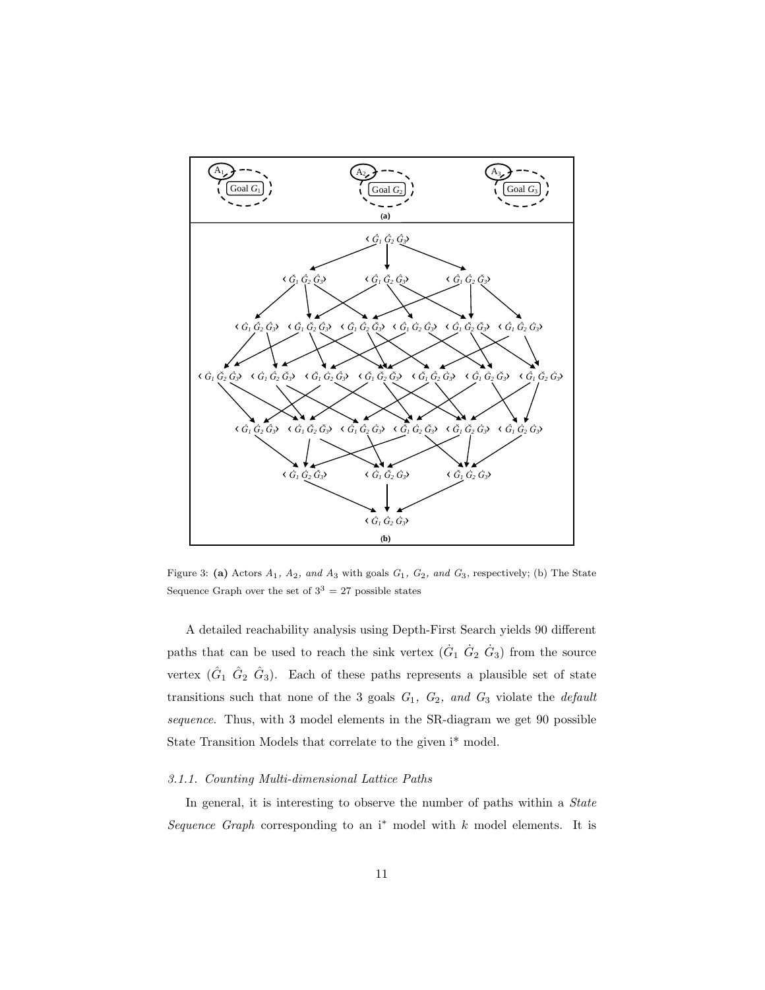

<span id="page-10-0"></span>Figure 3: (a) Actors  $A_1$ ,  $A_2$ , and  $A_3$  with goals  $G_1$ ,  $G_2$ , and  $G_3$ , respectively; (b) The State Sequence Graph over the set of  $3^3 = 27$  possible states

A detailed reachability analysis using Depth-First Search yields 90 different paths that can be used to reach the sink vertex  $(\dot{G}_1 \dot{G}_2 \dot{G}_3)$  from the source vertex  $(\hat{G}_1 \ \hat{G}_2 \ \hat{G}_3)$ . Each of these paths represents a plausible set of state transitions such that none of the 3 goals  $G_1$ ,  $G_2$ , and  $G_3$  violate the *default* sequence. Thus, with 3 model elements in the SR-diagram we get 90 possible State Transition Models that correlate to the given i\* model.

#### 3.1.1. Counting Multi-dimensional Lattice Paths

In general, it is interesting to observe the number of paths within a *State* Sequence Graph corresponding to an  $i^*$  model with k model elements. It is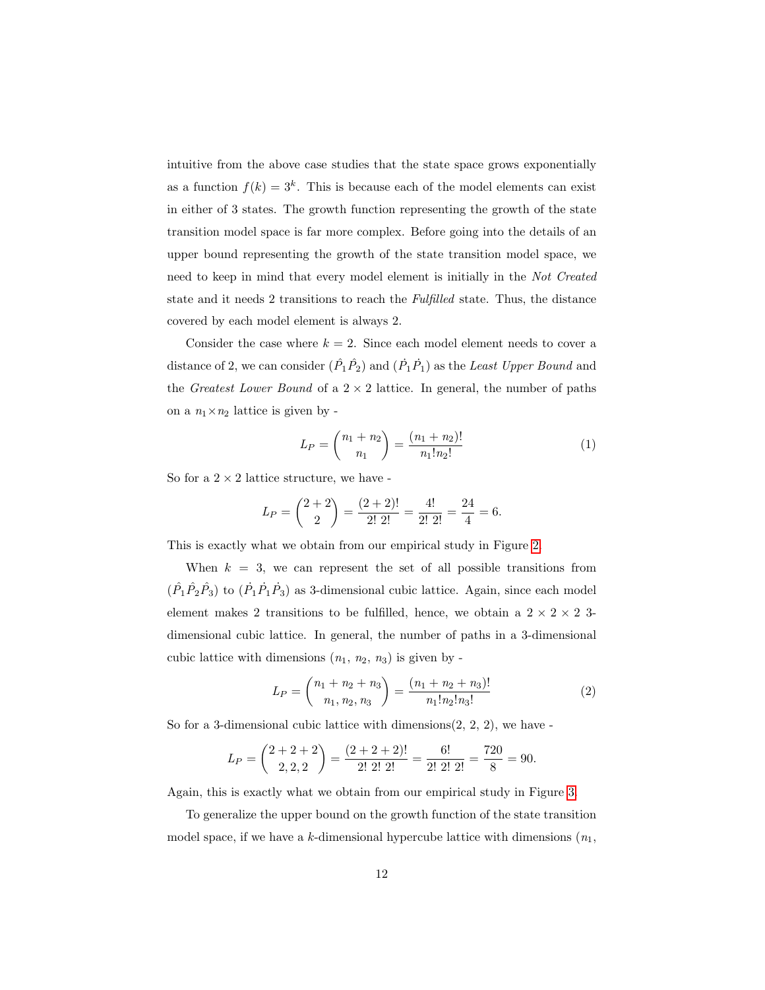intuitive from the above case studies that the state space grows exponentially as a function  $f(k) = 3<sup>k</sup>$ . This is because each of the model elements can exist in either of 3 states. The growth function representing the growth of the state transition model space is far more complex. Before going into the details of an upper bound representing the growth of the state transition model space, we need to keep in mind that every model element is initially in the Not Created state and it needs 2 transitions to reach the Fulfilled state. Thus, the distance covered by each model element is always 2.

Consider the case where  $k = 2$ . Since each model element needs to cover a distance of 2, we can consider  $(\hat{P}_1 \hat{P}_2)$  and  $(\hat{P}_1 \hat{P}_1)$  as the Least Upper Bound and the *Greatest Lower Bound* of a  $2 \times 2$  lattice. In general, the number of paths on a  $n_1 \times n_2$  lattice is given by -

$$
L_P = \binom{n_1 + n_2}{n_1} = \frac{(n_1 + n_2)!}{n_1! n_2!} \tag{1}
$$

So for a  $2 \times 2$  lattice structure, we have -

$$
L_P = \binom{2+2}{2} = \frac{(2+2)!}{2! \ 2!} = \frac{4!}{2! \ 2!} = \frac{24}{4} = 6.
$$

This is exactly what we obtain from our empirical study in Figure [2.](#page-8-0)

When  $k = 3$ , we can represent the set of all possible transitions from  $(\hat{P}_1 \hat{P}_2 \hat{P}_3)$  to  $(\hat{P}_1 \hat{P}_1 \hat{P}_3)$  as 3-dimensional cubic lattice. Again, since each model element makes 2 transitions to be fulfilled, hence, we obtain a  $2 \times 2 \times 2$  3dimensional cubic lattice. In general, the number of paths in a 3-dimensional cubic lattice with dimensions  $(n_1, n_2, n_3)$  is given by -

$$
L_P = \binom{n_1 + n_2 + n_3}{n_1, n_2, n_3} = \frac{(n_1 + n_2 + n_3)!}{n_1! n_2! n_3!}
$$
 (2)

So for a 3-dimensional cubic lattice with dimensions $(2, 2, 2)$ , we have -

$$
L_P = \binom{2+2+2}{2,2,2} = \frac{(2+2+2)!}{2! \ 2! \ 2!} = \frac{6!}{2! \ 2! \ 2!} = \frac{720}{8} = 90.
$$

Again, this is exactly what we obtain from our empirical study in Figure [3.](#page-10-0)

To generalize the upper bound on the growth function of the state transition model space, if we have a k-dimensional hypercube lattice with dimensions  $(n_1,$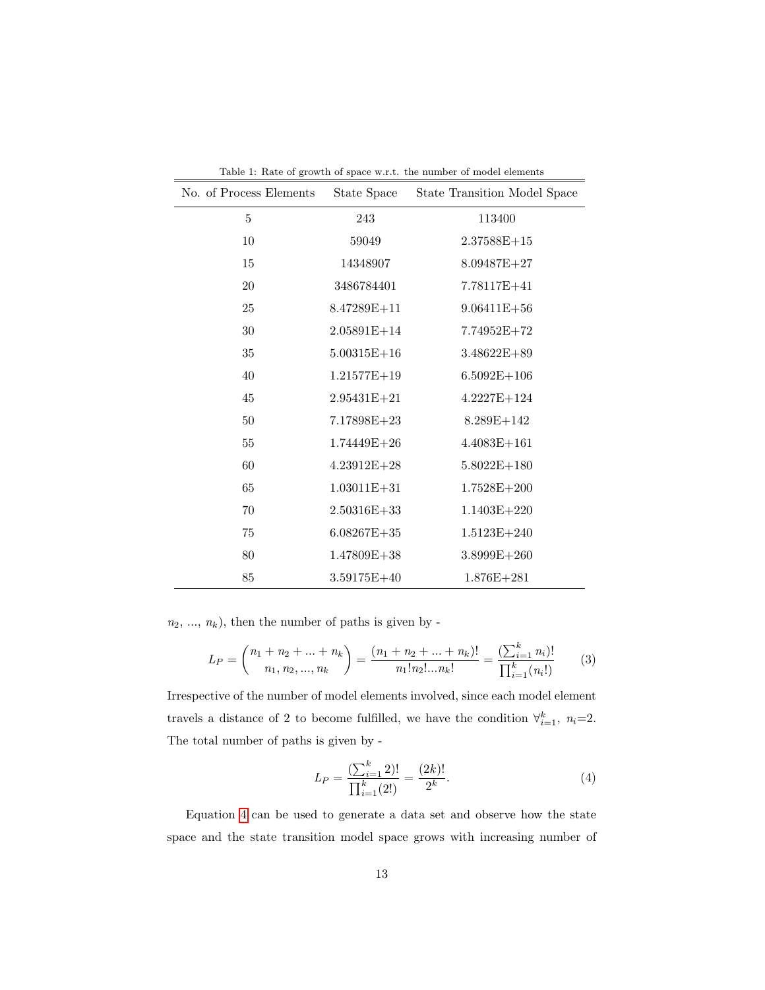| No. of Process Elements | State Space     | Table 1. Trave of grow in or space with. The number of moder elements<br>State Transition Model Space |
|-------------------------|-----------------|-------------------------------------------------------------------------------------------------------|
| 5                       | 243             | 113400                                                                                                |
| 10                      | 59049           | $2.37588E + 15$                                                                                       |
| 15                      | 14348907        | $8.09487E+27$                                                                                         |
| 20                      | 3486784401      | 7.78117E+41                                                                                           |
| 25                      | $8.47289E + 11$ | $9.06411E + 56$                                                                                       |
| 30                      | $2.05891E+14$   | $7.74952E+72$                                                                                         |
| 35                      | $5.00315E + 16$ | $3.48622E + 89$                                                                                       |
| 40                      | $1.21577E+19$   | $6.5092E+106$                                                                                         |
| 45                      | $2.95431E + 21$ | $4.2227E+124$                                                                                         |
| $50\,$                  | $7.17898E+23$   | $8.289E+142$                                                                                          |
| 55                      | $1.74449E + 26$ | $4.4083E+161$                                                                                         |
| 60                      | $4.23912E+28$   | $5.8022E+180$                                                                                         |
| 65                      | $1.03011E + 31$ | $1.7528E + 200$                                                                                       |
| 70                      | $2.50316E + 33$ | $1.1403E + 220$                                                                                       |
| 75                      | $6.08267E+35$   | $1.5123E + 240$                                                                                       |
| 80                      | $1.47809E + 38$ | $3.8999E+260$                                                                                         |
| 85                      | $3.59175E+40$   | $1.876E + 281$                                                                                        |

<span id="page-12-1"></span>Table 1: Rate of growth of space w.r.t. the number of model elements

 $n_2,\,...,\,n_k),$  then the number of paths is given by -

$$
L_P = \binom{n_1 + n_2 + \ldots + n_k}{n_1, n_2, \ldots, n_k} = \frac{(n_1 + n_2 + \ldots + n_k)!}{n_1! n_2! \ldots n_k!} = \frac{\left(\sum_{i=1}^k n_i\right)!}{\prod_{i=1}^k (n_i!)}
$$
(3)

Irrespective of the number of model elements involved, since each model element travels a distance of 2 to become fulfilled, we have the condition  $\forall_{i=1}^k$ ,  $n_i=2$ . The total number of paths is given by -

<span id="page-12-0"></span>
$$
L_P = \frac{\left(\sum_{i=1}^k 2\right)!}{\prod_{i=1}^k (2!)} = \frac{(2k)!}{2^k}.
$$
\n(4)

Equation [4](#page-12-0) can be used to generate a data set and observe how the state space and the state transition model space grows with increasing number of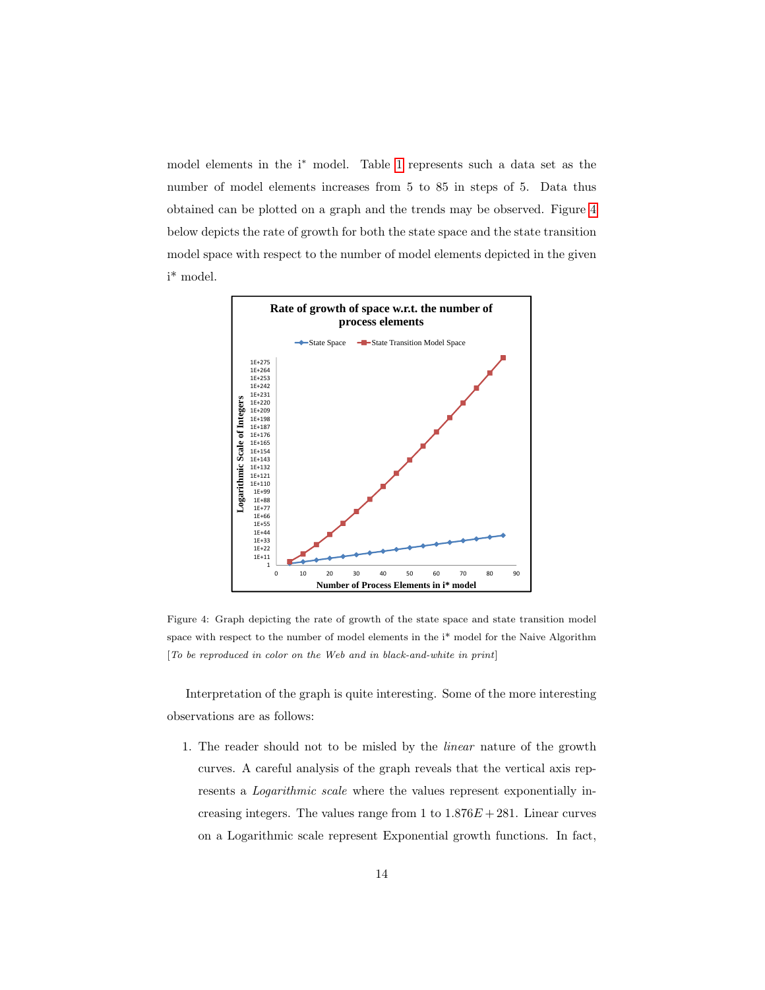model elements in the i<sup>∗</sup> model. Table [1](#page-12-1) represents such a data set as the number of model elements increases from 5 to 85 in steps of 5. Data thus obtained can be plotted on a graph and the trends may be observed. Figure [4](#page-13-0) below depicts the rate of growth for both the state space and the state transition model space with respect to the number of model elements depicted in the given i\* model.



<span id="page-13-0"></span>Figure 4: Graph depicting the rate of growth of the state space and state transition model space with respect to the number of model elements in the i\* model for the Naive Algorithm [To be reproduced in color on the Web and in black-and-white in print]

Interpretation of the graph is quite interesting. Some of the more interesting observations are as follows:

1. The reader should not to be misled by the linear nature of the growth curves. A careful analysis of the graph reveals that the vertical axis represents a Logarithmic scale where the values represent exponentially increasing integers. The values range from 1 to  $1.876E + 281$ . Linear curves on a Logarithmic scale represent Exponential growth functions. In fact,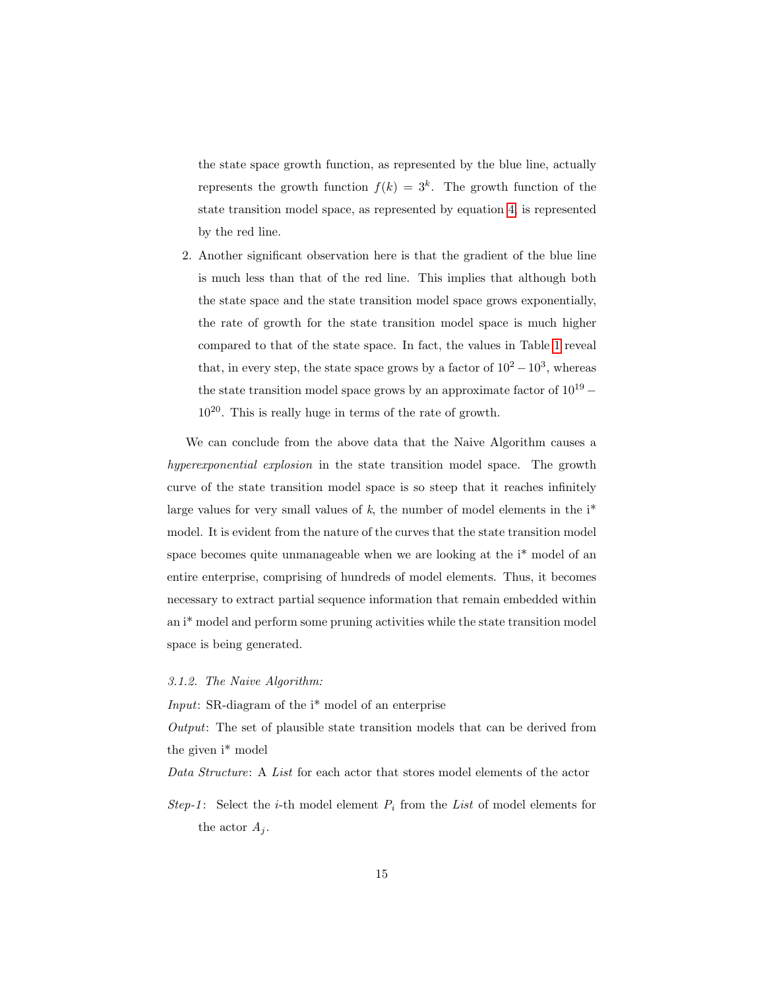the state space growth function, as represented by the blue line, actually represents the growth function  $f(k) = 3<sup>k</sup>$ . The growth function of the state transition model space, as represented by equation [4,](#page-12-0) is represented by the red line.

2. Another significant observation here is that the gradient of the blue line is much less than that of the red line. This implies that although both the state space and the state transition model space grows exponentially, the rate of growth for the state transition model space is much higher compared to that of the state space. In fact, the values in Table [1](#page-12-1) reveal that, in every step, the state space grows by a factor of  $10^2 - 10^3$ , whereas the state transition model space grows by an approximate factor of  $10^{19}$  –  $10^{20}$ . This is really huge in terms of the rate of growth.

We can conclude from the above data that the Naive Algorithm causes a hyperexponential explosion in the state transition model space. The growth curve of the state transition model space is so steep that it reaches infinitely large values for very small values of  $k$ , the number of model elements in the  $i^*$ model. It is evident from the nature of the curves that the state transition model space becomes quite unmanageable when we are looking at the i\* model of an entire enterprise, comprising of hundreds of model elements. Thus, it becomes necessary to extract partial sequence information that remain embedded within an i\* model and perform some pruning activities while the state transition model space is being generated.

## 3.1.2. The Naive Algorithm:

Input: SR-diagram of the i\* model of an enterprise

Output: The set of plausible state transition models that can be derived from the given i\* model

Data Structure: A List for each actor that stores model elements of the actor

Step-1: Select the *i*-th model element  $P_i$  from the List of model elements for the actor  $A_i$ .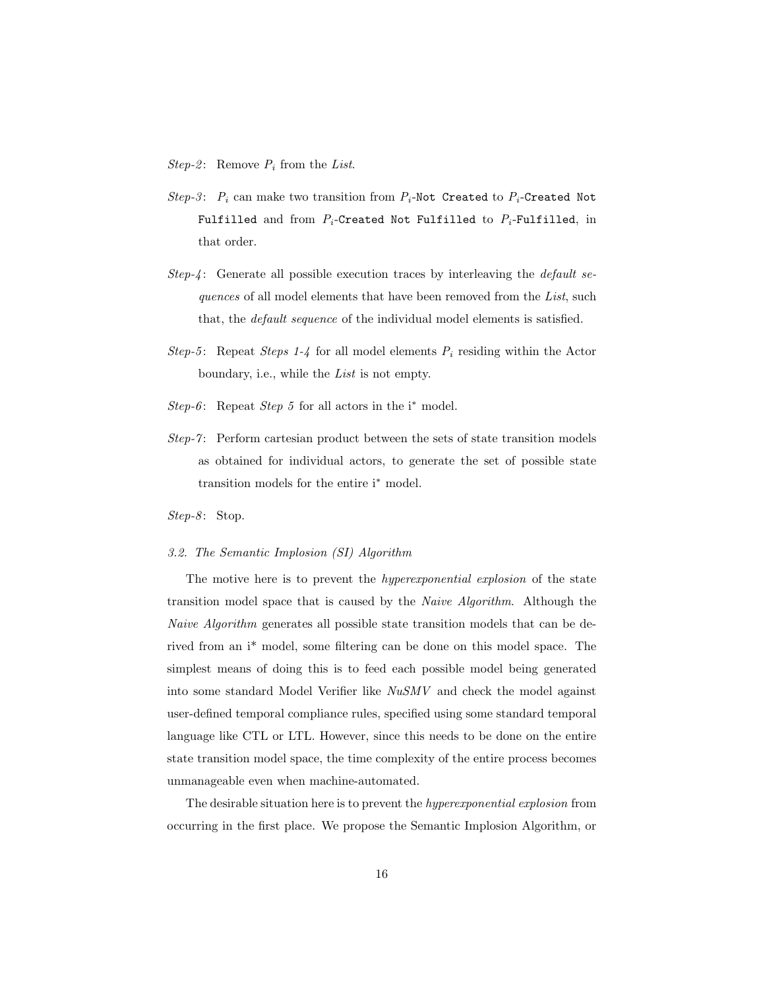*Step-2*: Remove  $P_i$  from the List.

- Step-3:  $P_i$  can make two transition from  $P_i$ -Not Created to  $P_i$ -Created Not Fulfilled and from  $P_i$ -Created Not Fulfilled to  $P_i$ -Fulfilled, in that order.
- Step-4: Generate all possible execution traces by interleaving the *default se*quences of all model elements that have been removed from the List, such that, the default sequence of the individual model elements is satisfied.
- Step-5: Repeat Steps 1-4 for all model elements  $P_i$  residing within the Actor boundary, i.e., while the List is not empty.
- Step-6: Repeat Step 5 for all actors in the  $i^*$  model.
- $Step-7$ : Perform cartesian product between the sets of state transition models as obtained for individual actors, to generate the set of possible state transition models for the entire i<sup>∗</sup> model.

 $Step-8$ : Stop.

## 3.2. The Semantic Implosion (SI) Algorithm

The motive here is to prevent the *hyperexponential explosion* of the state transition model space that is caused by the Naive Algorithm. Although the Naive Algorithm generates all possible state transition models that can be derived from an i\* model, some filtering can be done on this model space. The simplest means of doing this is to feed each possible model being generated into some standard Model Verifier like NuSMV and check the model against user-defined temporal compliance rules, specified using some standard temporal language like CTL or LTL. However, since this needs to be done on the entire state transition model space, the time complexity of the entire process becomes unmanageable even when machine-automated.

The desirable situation here is to prevent the hyperexponential explosion from occurring in the first place. We propose the Semantic Implosion Algorithm, or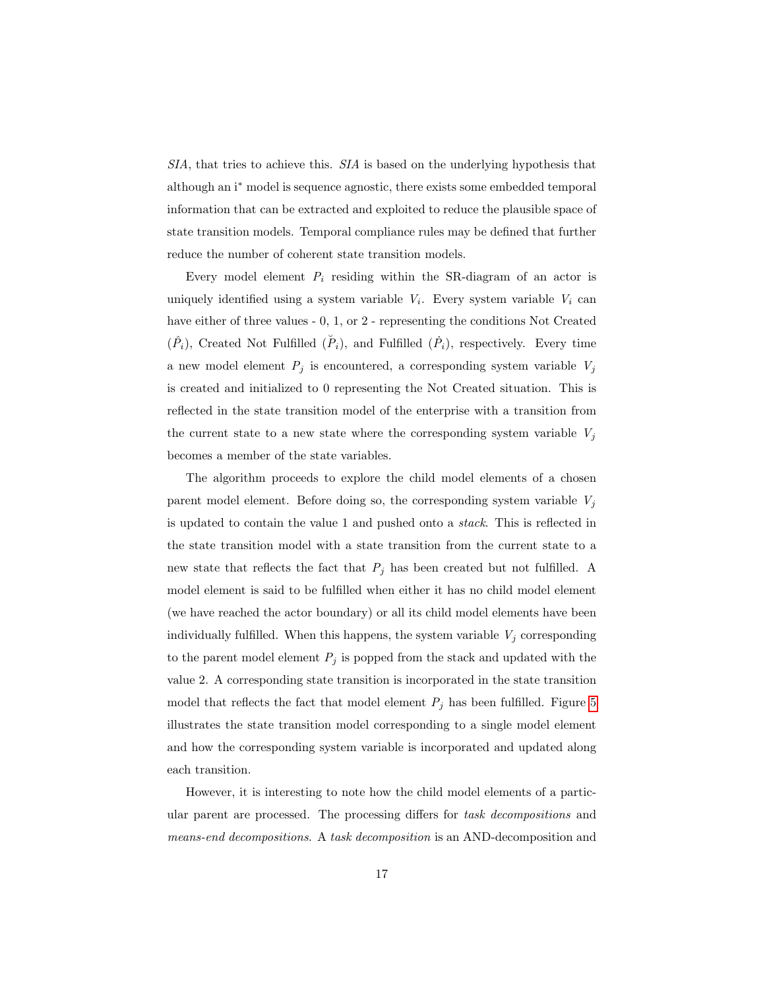SIA, that tries to achieve this. SIA is based on the underlying hypothesis that although an i<sup>∗</sup> model is sequence agnostic, there exists some embedded temporal information that can be extracted and exploited to reduce the plausible space of state transition models. Temporal compliance rules may be defined that further reduce the number of coherent state transition models.

Every model element  $P_i$  residing within the SR-diagram of an actor is uniquely identified using a system variable  $V_i$ . Every system variable  $V_i$  can have either of three values - 0, 1, or 2 - representing the conditions Not Created  $(\hat{P}_i)$ , Created Not Fulfilled  $(\check{P}_i)$ , and Fulfilled  $(\check{P}_i)$ , respectively. Every time a new model element  $P_j$  is encountered, a corresponding system variable  $V_j$ is created and initialized to 0 representing the Not Created situation. This is reflected in the state transition model of the enterprise with a transition from the current state to a new state where the corresponding system variable  $V_i$ becomes a member of the state variables.

The algorithm proceeds to explore the child model elements of a chosen parent model element. Before doing so, the corresponding system variable  $V_j$ is updated to contain the value 1 and pushed onto a stack. This is reflected in the state transition model with a state transition from the current state to a new state that reflects the fact that  $P_j$  has been created but not fulfilled. A model element is said to be fulfilled when either it has no child model element (we have reached the actor boundary) or all its child model elements have been individually fulfilled. When this happens, the system variable  $V_j$  corresponding to the parent model element  $P_j$  is popped from the stack and updated with the value 2. A corresponding state transition is incorporated in the state transition model that reflects the fact that model element  $P_j$  has been fulfilled. Figure [5](#page-17-0) illustrates the state transition model corresponding to a single model element and how the corresponding system variable is incorporated and updated along each transition.

However, it is interesting to note how the child model elements of a particular parent are processed. The processing differs for task decompositions and means-end decompositions. A task decomposition is an AND-decomposition and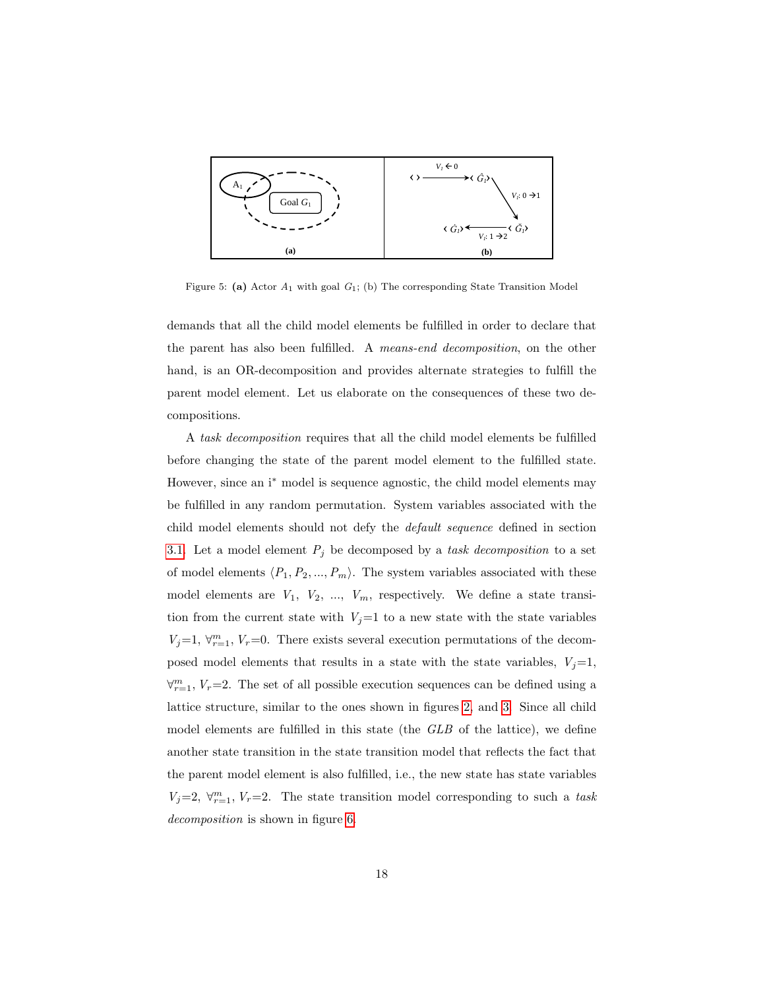

<span id="page-17-0"></span>Figure 5: (a) Actor  $A_1$  with goal  $G_1$ ; (b) The corresponding State Transition Model

demands that all the child model elements be fulfilled in order to declare that the parent has also been fulfilled. A means-end decomposition, on the other hand, is an OR-decomposition and provides alternate strategies to fulfill the parent model element. Let us elaborate on the consequences of these two decompositions.

A task decomposition requires that all the child model elements be fulfilled before changing the state of the parent model element to the fulfilled state. However, since an i<sup>∗</sup> model is sequence agnostic, the child model elements may be fulfilled in any random permutation. System variables associated with the child model elements should not defy the default sequence defined in section [3.1.](#page-6-0) Let a model element  $P_j$  be decomposed by a task decomposition to a set of model elements  $\langle P_1, P_2, ..., P_m \rangle$ . The system variables associated with these model elements are  $V_1$ ,  $V_2$ , ...,  $V_m$ , respectively. We define a state transition from the current state with  $V_j=1$  to a new state with the state variables  $V_j=1, \forall_{r=1}^m, V_r=0.$  There exists several execution permutations of the decomposed model elements that results in a state with the state variables,  $V_j=1$ ,  $\forall_{r=1}^{m}$ ,  $V_r$ =2. The set of all possible execution sequences can be defined using a lattice structure, similar to the ones shown in figures [2,](#page-8-0) and [3.](#page-10-0) Since all child model elements are fulfilled in this state (the GLB of the lattice), we define another state transition in the state transition model that reflects the fact that the parent model element is also fulfilled, i.e., the new state has state variables  $V_j=2, \forall_{r=1}^m, V_r=2.$  The state transition model corresponding to such a task decomposition is shown in figure [6.](#page-18-0)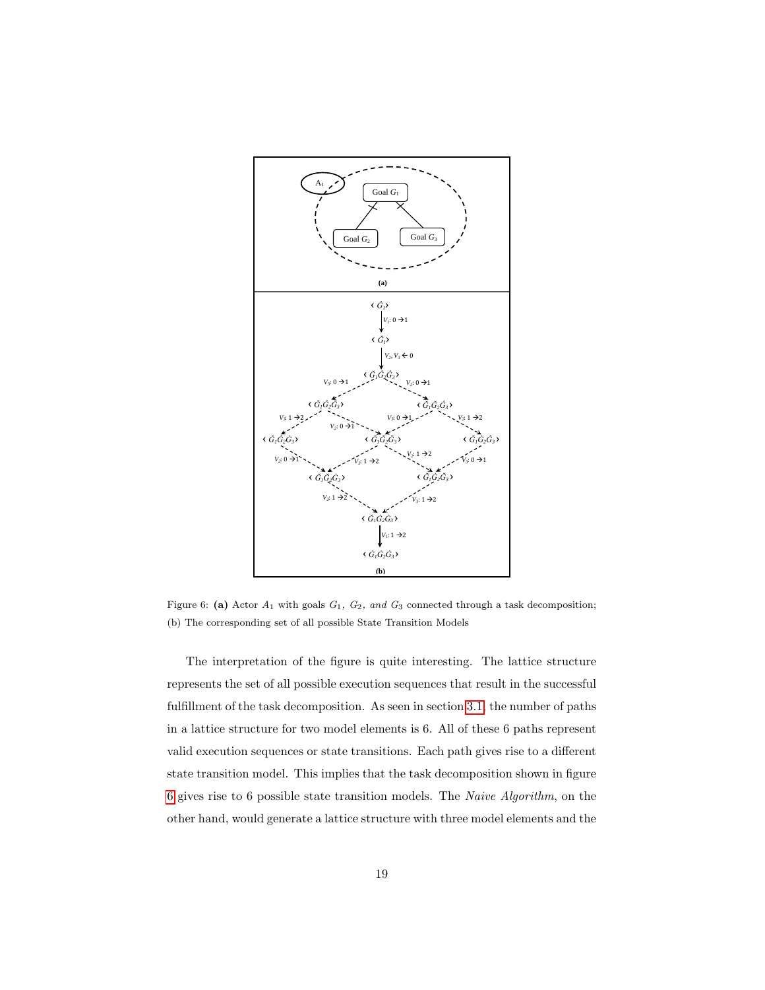

<span id="page-18-0"></span>Figure 6: (a) Actor  $A_1$  with goals  $G_1$ ,  $G_2$ , and  $G_3$  connected through a task decomposition; (b) The corresponding set of all possible State Transition Models

The interpretation of the figure is quite interesting. The lattice structure represents the set of all possible execution sequences that result in the successful fulfillment of the task decomposition. As seen in section [3.1,](#page-6-0) the number of paths in a lattice structure for two model elements is 6. All of these 6 paths represent valid execution sequences or state transitions. Each path gives rise to a different state transition model. This implies that the task decomposition shown in figure [6](#page-18-0) gives rise to 6 possible state transition models. The Naive Algorithm, on the other hand, would generate a lattice structure with three model elements and the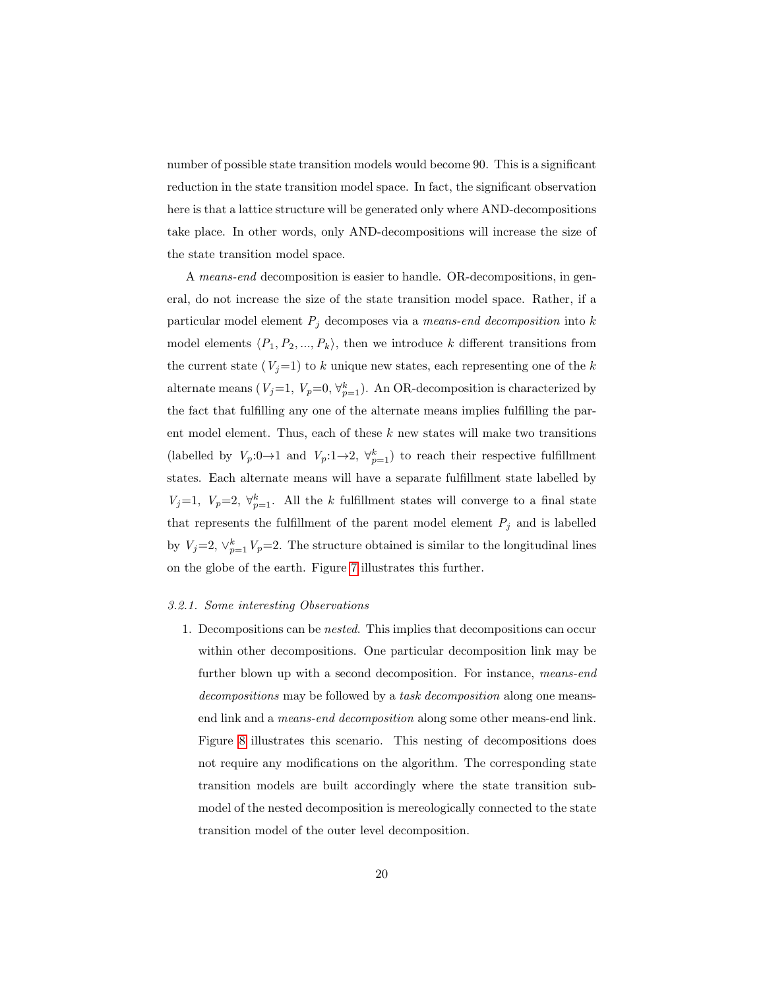number of possible state transition models would become 90. This is a significant reduction in the state transition model space. In fact, the significant observation here is that a lattice structure will be generated only where AND-decompositions take place. In other words, only AND-decompositions will increase the size of the state transition model space.

A means-end decomposition is easier to handle. OR-decompositions, in general, do not increase the size of the state transition model space. Rather, if a particular model element  $P_j$  decomposes via a means-end decomposition into k model elements  $\langle P_1, P_2, ..., P_k \rangle$ , then we introduce k different transitions from the current state  $(V<sub>i</sub>=1)$  to k unique new states, each representing one of the k alternate means ( $V_j=1$ ,  $V_p=0$ ,  $\forall_{p=1}^k$ ). An OR-decomposition is characterized by the fact that fulfilling any one of the alternate means implies fulfilling the parent model element. Thus, each of these  $k$  new states will make two transitions (labelled by  $V_p: 0 \to 1$  and  $V_p: 1 \to 2$ ,  $\forall_{p=1}^k$ ) to reach their respective fulfillment states. Each alternate means will have a separate fulfillment state labelled by  $V_j=1, V_p=2, \forall_{p=1}^k$ . All the k fulfillment states will converge to a final state that represents the fulfillment of the parent model element  $P_j$  and is labelled by  $V_j = 2$ ,  $\vee_{p=1}^k V_p = 2$ . The structure obtained is similar to the longitudinal lines on the globe of the earth. Figure [7](#page-20-0) illustrates this further.

#### 3.2.1. Some interesting Observations

1. Decompositions can be nested. This implies that decompositions can occur within other decompositions. One particular decomposition link may be further blown up with a second decomposition. For instance, means-end decompositions may be followed by a task decomposition along one meansend link and a means-end decomposition along some other means-end link. Figure [8](#page-21-0) illustrates this scenario. This nesting of decompositions does not require any modifications on the algorithm. The corresponding state transition models are built accordingly where the state transition submodel of the nested decomposition is mereologically connected to the state transition model of the outer level decomposition.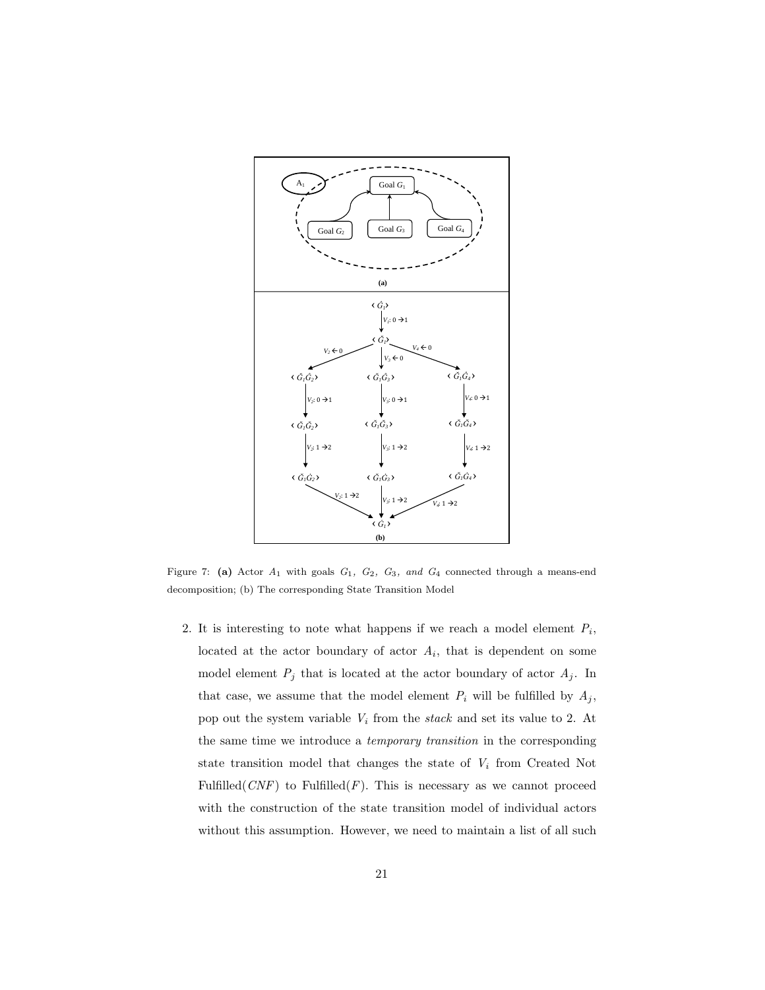

<span id="page-20-0"></span>Figure 7: (a) Actor  $A_1$  with goals  $G_1$ ,  $G_2$ ,  $G_3$ , and  $G_4$  connected through a means-end decomposition; (b) The corresponding State Transition Model

2. It is interesting to note what happens if we reach a model element  $P_i$ , located at the actor boundary of actor  $A_i$ , that is dependent on some model element  $P_j$  that is located at the actor boundary of actor  $A_j$ . In that case, we assume that the model element  $P_i$  will be fulfilled by  $A_j$ , pop out the system variable  $V_i$  from the stack and set its value to 2. At the same time we introduce a temporary transition in the corresponding state transition model that changes the state of  $V_i$  from Created Not Fulfilled( $CNF$ ) to Fulfilled( $F$ ). This is necessary as we cannot proceed with the construction of the state transition model of individual actors without this assumption. However, we need to maintain a list of all such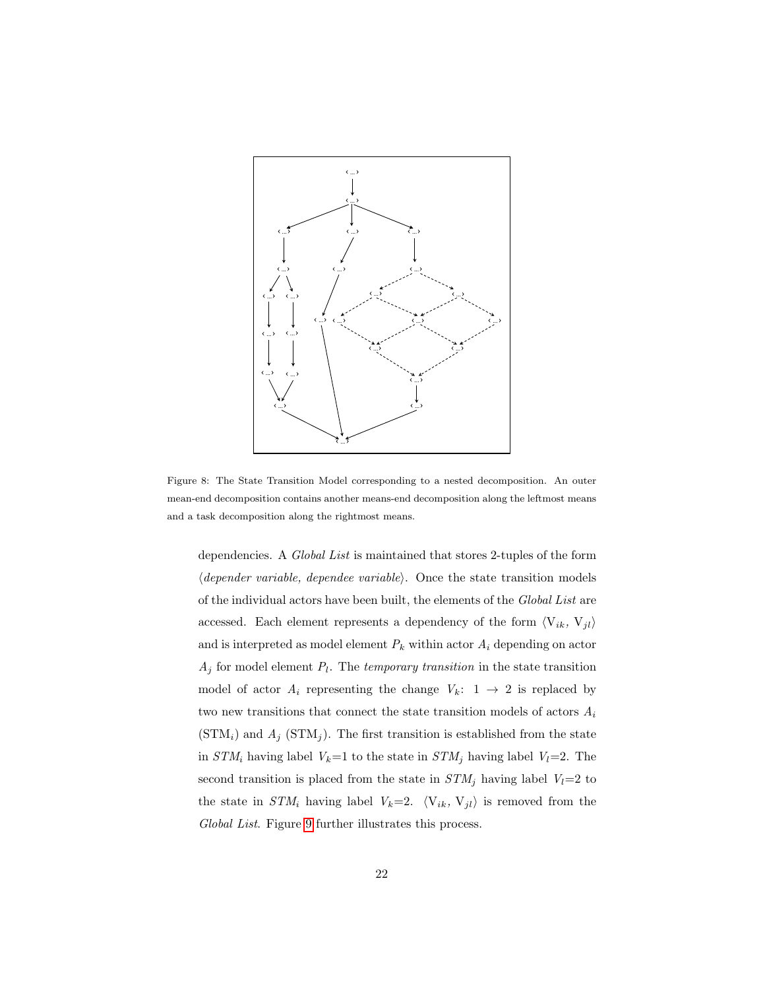

<span id="page-21-0"></span>Figure 8: The State Transition Model corresponding to a nested decomposition. An outer mean-end decomposition contains another means-end decomposition along the leftmost means and a task decomposition along the rightmost means.

dependencies. A Global List is maintained that stores 2-tuples of the form  $\langle dependent\ variable, \ depende\ variable\rangle.$  Once the state transition models of the individual actors have been built, the elements of the Global List are accessed. Each element represents a dependency of the form  $\langle V_{ik}, V_{jl} \rangle$ and is interpreted as model element  $P_k$  within actor  $A_i$  depending on actor  $A_j$  for model element  $P_l$ . The temporary transition in the state transition model of actor  $A_i$  representing the change  $V_k$ :  $1 \rightarrow 2$  is replaced by two new transitions that connect the state transition models of actors  $A_i$  $(\text{STM}_i)$  and  $A_j$   $(\text{STM}_j)$ . The first transition is established from the state in  $STM_i$  having label  $V_k=1$  to the state in  $STM_j$  having label  $V_l=2$ . The second transition is placed from the state in  $STM_j$  having label  $V_l=2$  to the state in  $STM_i$  having label  $V_k=2$ .  $\langle V_{ik}, V_{jl} \rangle$  is removed from the Global List. Figure [9](#page-22-0) further illustrates this process.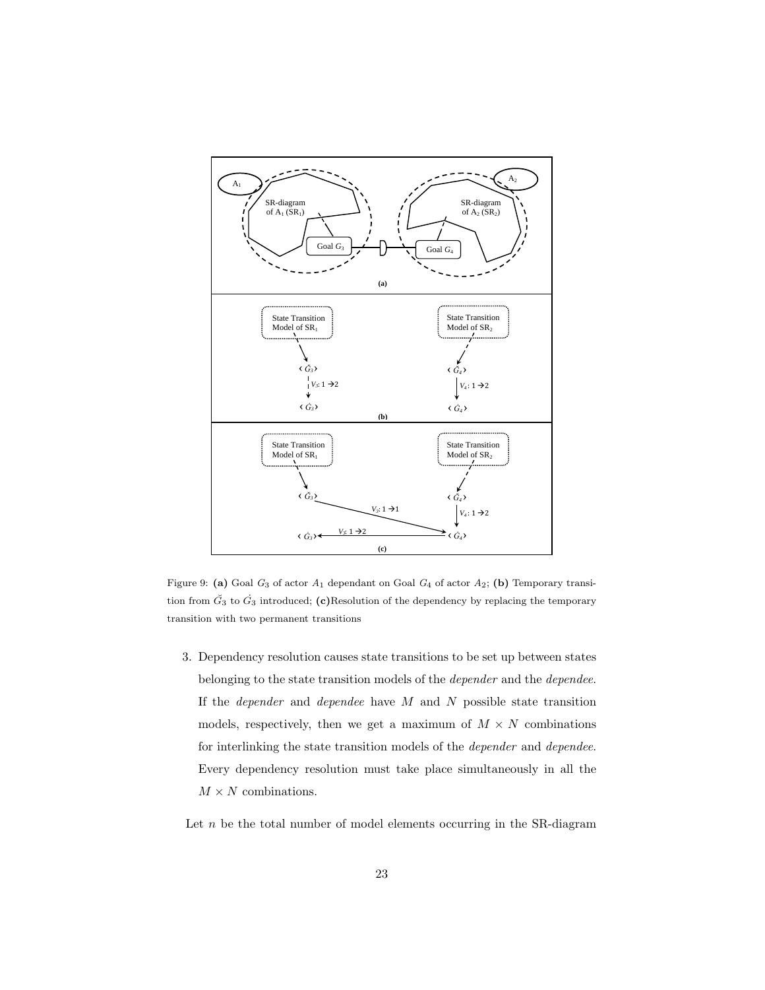

<span id="page-22-0"></span>Figure 9: (a) Goal  $G_3$  of actor  $A_1$  dependant on Goal  $G_4$  of actor  $A_2$ ; (b) Temporary transition from  $\check{G}_3$  to  $\dot{G}_3$  introduced; (c)Resolution of the dependency by replacing the temporary transition with two permanent transitions

3. Dependency resolution causes state transitions to be set up between states belonging to the state transition models of the depender and the dependee. If the *depender* and *dependee* have  $M$  and  $N$  possible state transition models, respectively, then we get a maximum of  $M \times N$  combinations for interlinking the state transition models of the depender and dependee. Every dependency resolution must take place simultaneously in all the  $M\times N$  combinations.

Let  $n$  be the total number of model elements occurring in the SR-diagram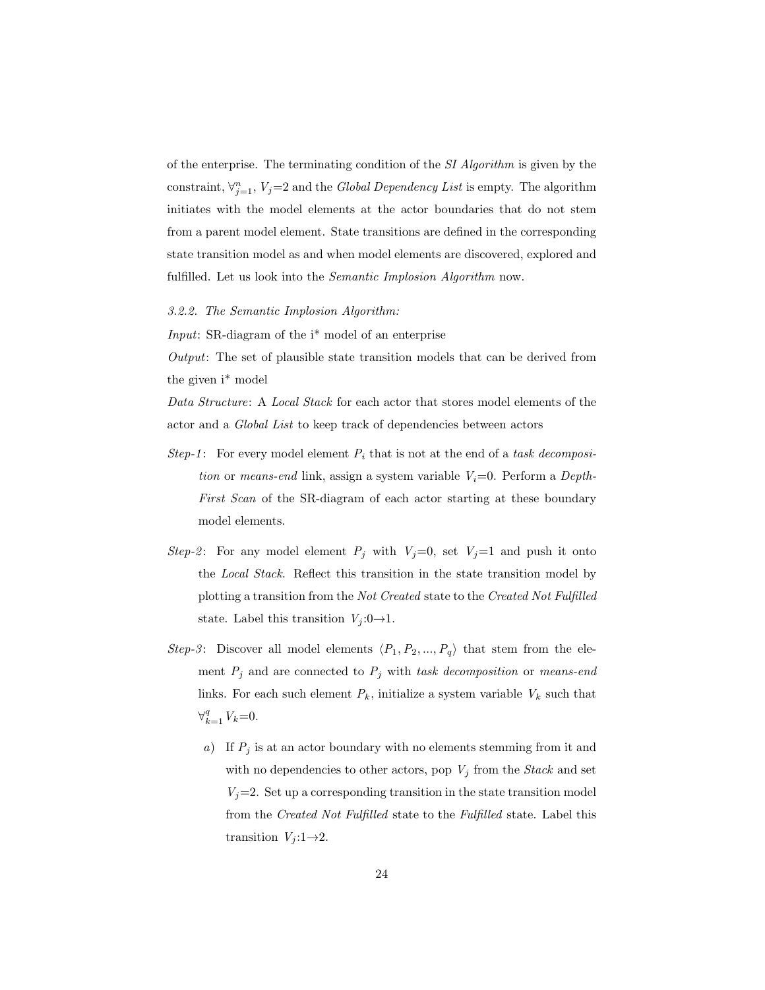of the enterprise. The terminating condition of the SI Algorithm is given by the constraint,  $\forall_{j=1}^{n}$ ,  $V_j=2$  and the *Global Dependency List* is empty. The algorithm initiates with the model elements at the actor boundaries that do not stem from a parent model element. State transitions are defined in the corresponding state transition model as and when model elements are discovered, explored and fulfilled. Let us look into the *Semantic Implosion Algorithm* now.

3.2.2. The Semantic Implosion Algorithm:

Input: SR-diagram of the i\* model of an enterprise

Output: The set of plausible state transition models that can be derived from the given i\* model

Data Structure: A Local Stack for each actor that stores model elements of the actor and a Global List to keep track of dependencies between actors

- Step-1: For every model element  $P_i$  that is not at the end of a task decomposition or means-end link, assign a system variable  $V_i=0$ . Perform a Depth-First Scan of the SR-diagram of each actor starting at these boundary model elements.
- Step-2: For any model element  $P_j$  with  $V_j=0$ , set  $V_j=1$  and push it onto the Local Stack. Reflect this transition in the state transition model by plotting a transition from the Not Created state to the Created Not Fulfilled state. Label this transition  $V_j: 0 \rightarrow 1$ .
- Step-3: Discover all model elements  $\langle P_1, P_2, ..., P_q \rangle$  that stem from the element  $P_j$  and are connected to  $P_j$  with task decomposition or means-end links. For each such element  $P_k$ , initialize a system variable  $V_k$  such that  $\forall_{k=1}^q V_k = 0.$ 
	- a) If  $P_j$  is at an actor boundary with no elements stemming from it and with no dependencies to other actors, pop  $V_j$  from the *Stack* and set  $V_j=2$ . Set up a corresponding transition in the state transition model from the Created Not Fulfilled state to the Fulfilled state. Label this transition  $V_j: 1 \rightarrow 2$ .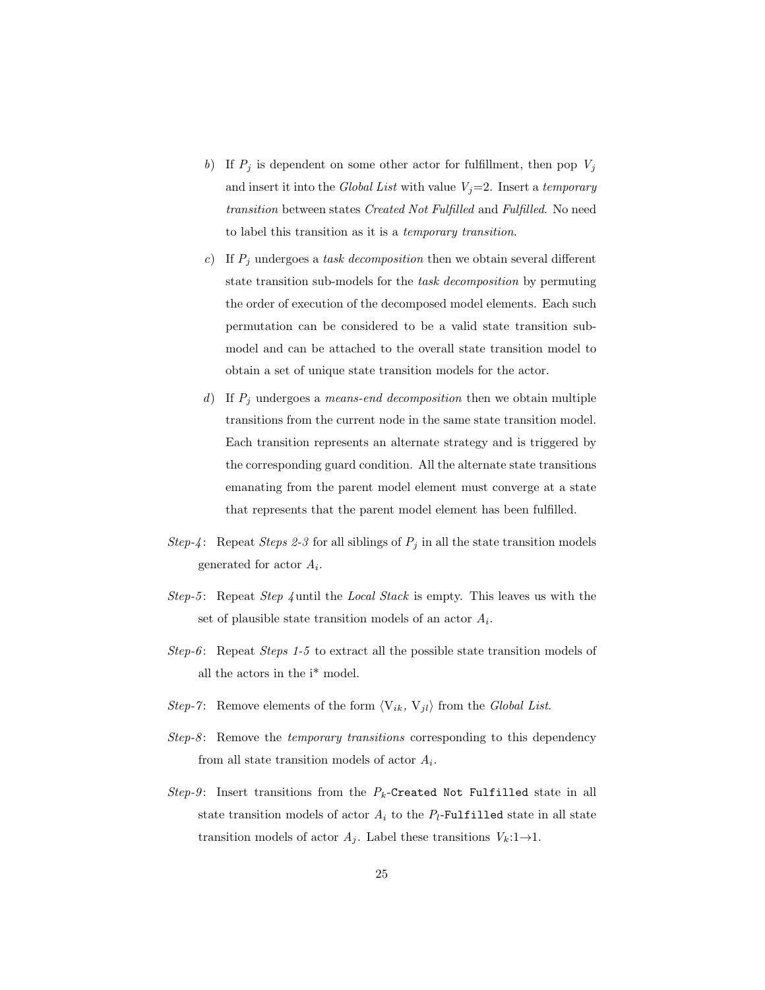- b) If  $P_j$  is dependent on some other actor for fulfillment, then pop  $V_j$ and insert it into the Global List with value  $V_j=2$ . Insert a temporary transition between states Created Not Fulfilled and Fulfilled. No need to label this transition as it is a temporary transition.
- c) If  $P_i$  undergoes a task decomposition then we obtain several different state transition sub-models for the task decomposition by permuting the order of execution of the decomposed model elements. Each such permutation can be considered to be a valid state transition submodel and can be attached to the overall state transition model to obtain a set of unique state transition models for the actor.
- d) If  $P_j$  undergoes a *means-end decomposition* then we obtain multiple transitions from the current node in the same state transition model. Each transition represents an alternate strategy and is triggered by the corresponding guard condition. All the alternate state transitions emanating from the parent model element must converge at a state that represents that the parent model element has been fulfilled.
- Step-4: Repeat Steps 2-3 for all siblings of  $P_j$  in all the state transition models generated for actor  $A_i$ .
- Step-5: Repeat Step  $\varphi$  until the Local Stack is empty. This leaves us with the set of plausible state transition models of an actor  $A_i$ .
- Step-6: Repeat Steps 1-5 to extract all the possible state transition models of all the actors in the i\* model.
- Step-7: Remove elements of the form  $\langle V_{ik}, V_{jl} \rangle$  from the Global List.
- $Step-8$ : Remove the *temporary transitions* corresponding to this dependency from all state transition models of actor  $A_i$ .
- Step-9: Insert transitions from the  $P_k$ -Created Not Fulfilled state in all state transition models of actor  $A_i$  to the  $P_l$ -Fulfilled state in all state transition models of actor  $A_j$ . Label these transitions  $V_k: 1 \rightarrow 1$ .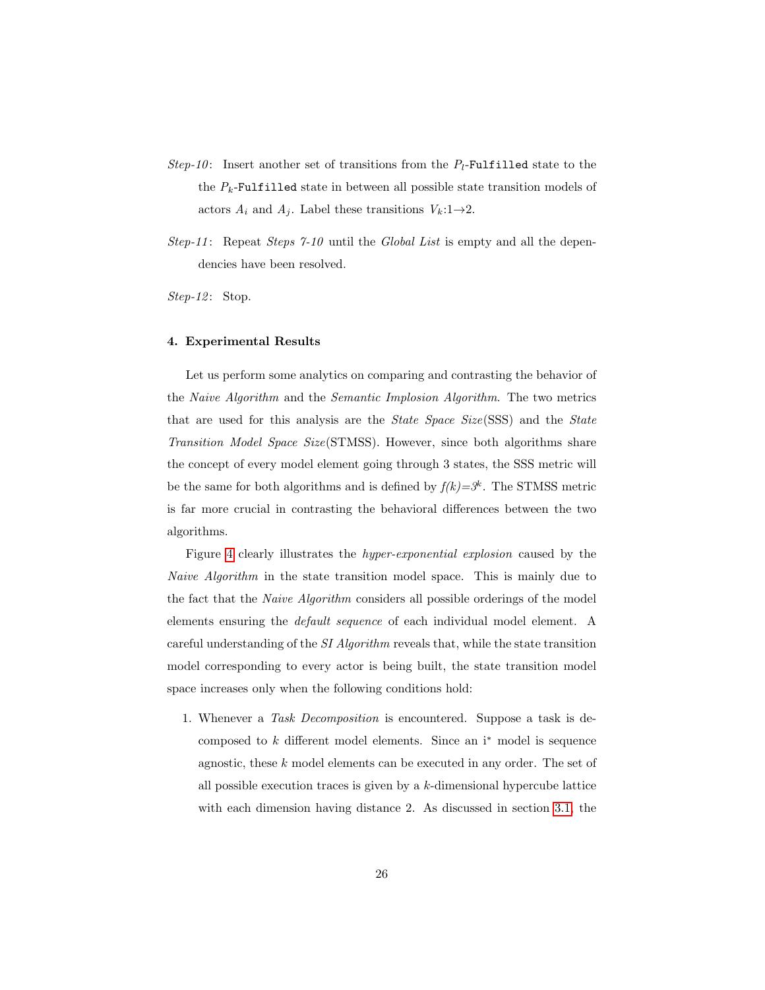- Step-10: Insert another set of transitions from the  $P_l$ -Fulfilled state to the the  $P_k$ -Fulfilled state in between all possible state transition models of actors  $A_i$  and  $A_j$ . Label these transitions  $V_k: 1 \rightarrow 2$ .
- $Step-11$ : Repeat  $Steps 7-10$  until the *Global List* is empty and all the dependencies have been resolved.

 $Step-12$ : Stop.

### <span id="page-25-0"></span>4. Experimental Results

Let us perform some analytics on comparing and contrasting the behavior of the Naive Algorithm and the Semantic Implosion Algorithm. The two metrics that are used for this analysis are the State Space Size(SSS) and the State Transition Model Space Size(STMSS). However, since both algorithms share the concept of every model element going through 3 states, the SSS metric will be the same for both algorithms and is defined by  $f(k)=3^k$ . The STMSS metric is far more crucial in contrasting the behavioral differences between the two algorithms.

Figure [4](#page-13-0) clearly illustrates the hyper-exponential explosion caused by the Naive Algorithm in the state transition model space. This is mainly due to the fact that the Naive Algorithm considers all possible orderings of the model elements ensuring the default sequence of each individual model element. A careful understanding of the SI Algorithm reveals that, while the state transition model corresponding to every actor is being built, the state transition model space increases only when the following conditions hold:

1. Whenever a Task Decomposition is encountered. Suppose a task is decomposed to  $k$  different model elements. Since an  $i^*$  model is sequence agnostic, these  $k$  model elements can be executed in any order. The set of all possible execution traces is given by a  $k$ -dimensional hypercube lattice with each dimension having distance 2. As discussed in section [3.1,](#page-6-0) the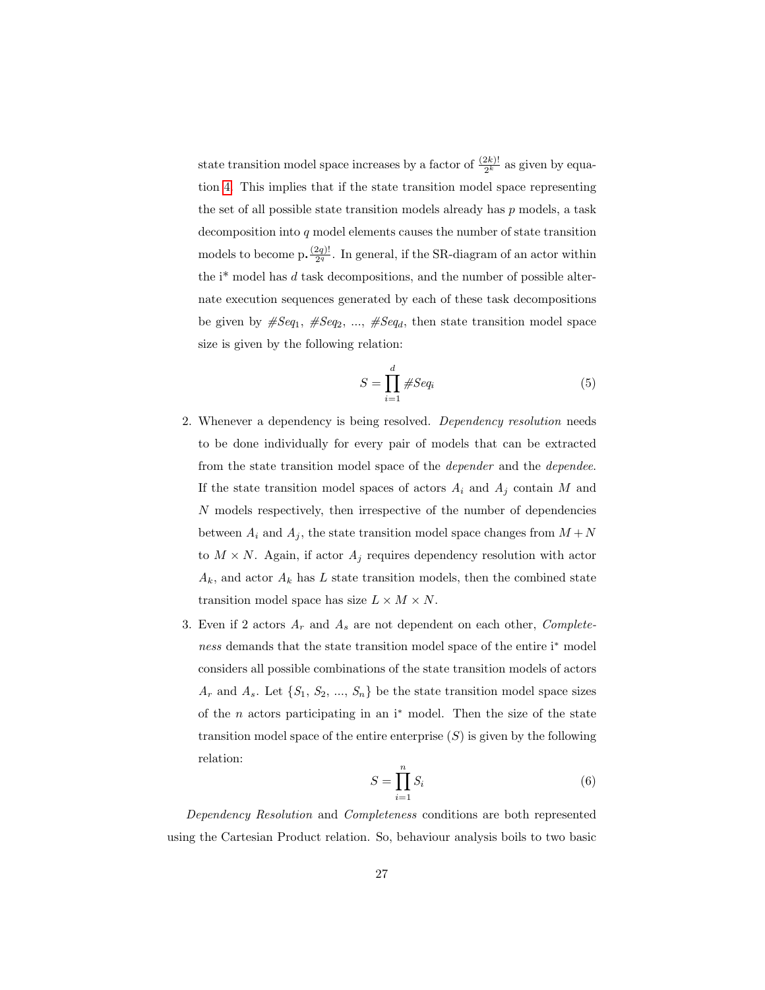state transition model space increases by a factor of  $\frac{(2k)!}{2^k}$  as given by equation [4.](#page-12-0) This implies that if the state transition model space representing the set of all possible state transition models already has  $p$  models, a task decomposition into q model elements causes the number of state transition models to become p.  $\frac{(2q)!}{2q}$  $\frac{2q}{2^q}$ . In general, if the SR-diagram of an actor within the  $i^*$  model has d task decompositions, and the number of possible alternate execution sequences generated by each of these task decompositions be given by  $#Seq_1, HSeq_2, ..., HSeq_d$ , then state transition model space size is given by the following relation:

$$
S = \prod_{i=1}^{d} \#Seq_i \tag{5}
$$

- 2. Whenever a dependency is being resolved. Dependency resolution needs to be done individually for every pair of models that can be extracted from the state transition model space of the depender and the dependee. If the state transition model spaces of actors  $A_i$  and  $A_j$  contain M and N models respectively, then irrespective of the number of dependencies between  $A_i$  and  $A_j$ , the state transition model space changes from  $M + N$ to  $M \times N$ . Again, if actor  $A_j$  requires dependency resolution with actor  $A_k$ , and actor  $A_k$  has L state transition models, then the combined state transition model space has size  $L \times M \times N$ .
- 3. Even if 2 actors  $A_r$  and  $A_s$  are not dependent on each other,  $Complete$ ness demands that the state transition model space of the entire i<sup>∗</sup> model considers all possible combinations of the state transition models of actors  $A_r$  and  $A_s$ . Let  $\{S_1, S_2, ..., S_n\}$  be the state transition model space sizes of the  $n$  actors participating in an i<sup>\*</sup> model. Then the size of the state transition model space of the entire enterprise  $(S)$  is given by the following relation:

$$
S = \prod_{i=1}^{n} S_i \tag{6}
$$

<span id="page-26-0"></span>Dependency Resolution and Completeness conditions are both represented using the Cartesian Product relation. So, behaviour analysis boils to two basic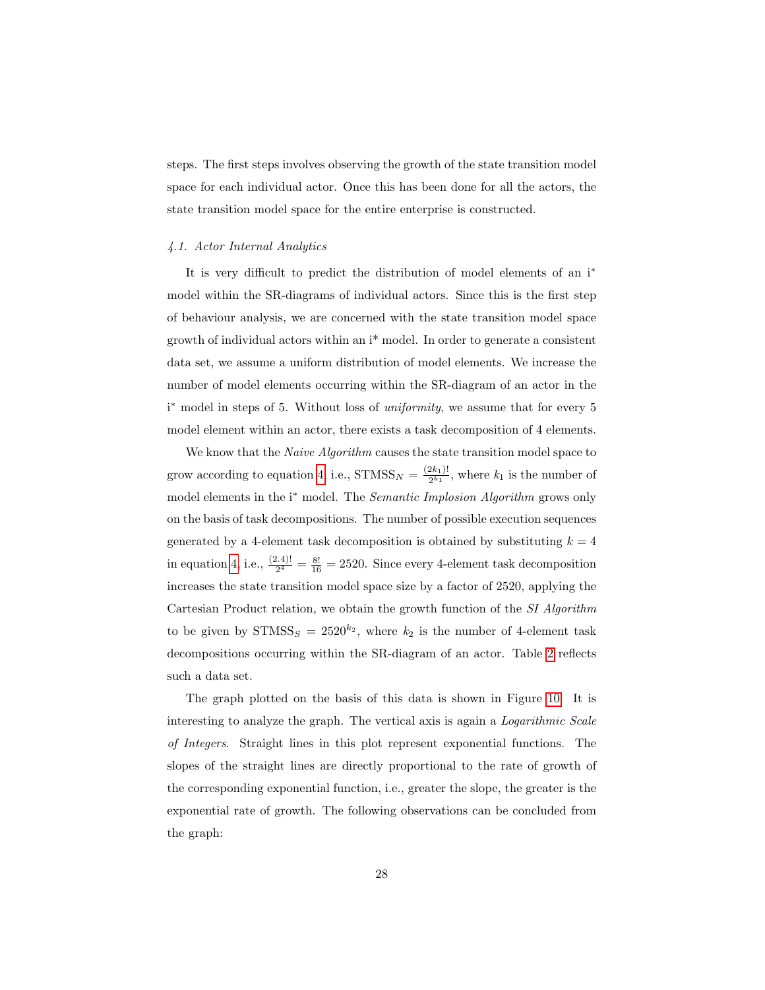steps. The first steps involves observing the growth of the state transition model space for each individual actor. Once this has been done for all the actors, the state transition model space for the entire enterprise is constructed.

## 4.1. Actor Internal Analytics

It is very difficult to predict the distribution of model elements of an i<sup>\*</sup> model within the SR-diagrams of individual actors. Since this is the first step of behaviour analysis, we are concerned with the state transition model space growth of individual actors within an i\* model. In order to generate a consistent data set, we assume a uniform distribution of model elements. We increase the number of model elements occurring within the SR-diagram of an actor in the i<sup>\*</sup> model in steps of 5. Without loss of *uniformity*, we assume that for every 5 model element within an actor, there exists a task decomposition of 4 elements.

We know that the *Naive Algorithm* causes the state transition model space to grow according to equation [4,](#page-12-0) i.e.,  $STMSS_N = \frac{(2k_1)!}{2^{k_1}}$  $\frac{2k_1!}{2^{k_1}}$ , where  $k_1$  is the number of model elements in the i<sup>\*</sup> model. The *Semantic Implosion Algorithm* grows only on the basis of task decompositions. The number of possible execution sequences generated by a 4-element task decomposition is obtained by substituting  $k = 4$ in equation [4,](#page-12-0) i.e.,  $\frac{(2.4)!}{2^4} = \frac{8!}{16} = 2520$ . Since every 4-element task decomposition increases the state transition model space size by a factor of 2520, applying the Cartesian Product relation, we obtain the growth function of the SI Algorithm to be given by  $STMSS_S = 2520^{k_2}$ , where  $k_2$  is the number of 4-element task decompositions occurring within the SR-diagram of an actor. Table [2](#page-28-0) reflects such a data set.

The graph plotted on the basis of this data is shown in Figure [10.](#page-29-0) It is interesting to analyze the graph. The vertical axis is again a Logarithmic Scale of Integers. Straight lines in this plot represent exponential functions. The slopes of the straight lines are directly proportional to the rate of growth of the corresponding exponential function, i.e., greater the slope, the greater is the exponential rate of growth. The following observations can be concluded from the graph: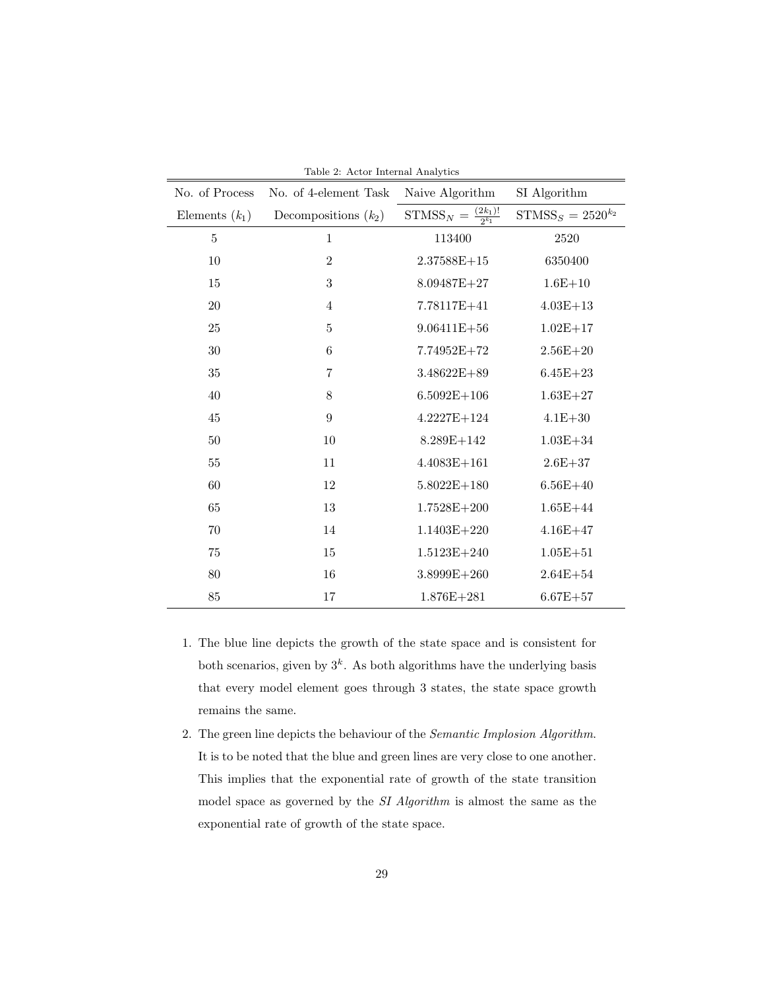| Table 2: Actor Internal Analytics |                                     |                        |  |  |  |
|-----------------------------------|-------------------------------------|------------------------|--|--|--|
| No. of 4-element Task             | Naive Algorithm                     | SI Algorithm           |  |  |  |
| Decompositions $(k_2)$            | $STMSS_N = \frac{(2k_1)!}{2^{k_1}}$ | $STMSS_S = 2520^{k_2}$ |  |  |  |
| 1                                 | 113400                              | 2520                   |  |  |  |
| $\overline{2}$                    | $2.37588E + 15$                     | 6350400                |  |  |  |
| $\sqrt{3}$                        | 8.09487E+27                         | $1.6E + 10$            |  |  |  |
| $\overline{4}$                    | 7.78117E+41                         | $4.03E + 13$           |  |  |  |
| $\bf 5$                           | $9.06411E + 56$                     | $1.02E + 17$           |  |  |  |
| 6                                 | 7.74952E+72                         | $2.56E + 20$           |  |  |  |
| $\overline{7}$                    | 3.48622E+89                         | $6.45E + 23$           |  |  |  |
| $8\,$                             | $6.5092E+106$                       | $1.63E + 27$           |  |  |  |
| $\boldsymbol{9}$                  | $4.2227E + 124$                     | $4.1E + 30$            |  |  |  |
| 10                                | $8.289E + 142$                      | $1.03E + 34$           |  |  |  |
| 11                                | $4.4083E + 161$                     | $2.6E + 37$            |  |  |  |
| 12                                | $5.8022E+180$                       | $6.56E + 40$           |  |  |  |
| 13                                | $1.7528E + 200$                     | $1.65E + 44$           |  |  |  |
| 14                                | $1.1403E + 220$                     | $4.16E + 47$           |  |  |  |
| 15                                | $1.5123E + 240$                     | $1.05E + 51$           |  |  |  |
| 16                                | $3.8999E + 260$                     | $2.64E + 54$           |  |  |  |
| 17                                | $1.876E + 281$                      | $6.67E + 57$           |  |  |  |
|                                   |                                     |                        |  |  |  |

<span id="page-28-0"></span>Table 2: Actor Internal Analytics

- 1. The blue line depicts the growth of the state space and is consistent for both scenarios, given by  $3^k$ . As both algorithms have the underlying basis that every model element goes through 3 states, the state space growth remains the same.
- 2. The green line depicts the behaviour of the Semantic Implosion Algorithm. It is to be noted that the blue and green lines are very close to one another. This implies that the exponential rate of growth of the state transition model space as governed by the SI Algorithm is almost the same as the exponential rate of growth of the state space.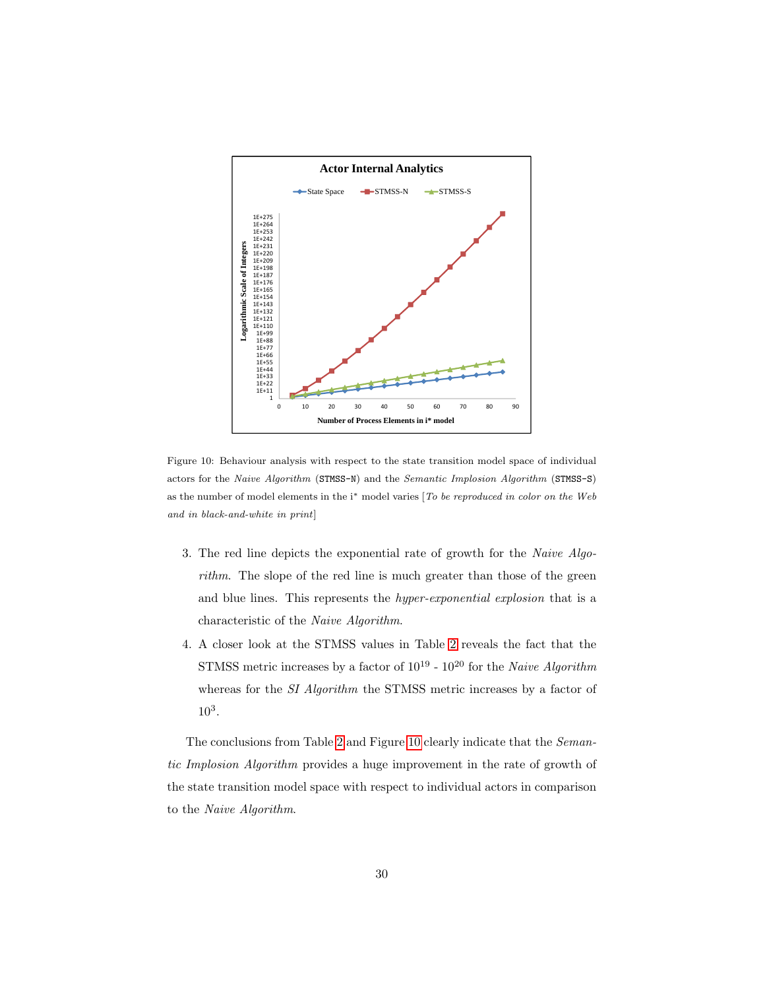

<span id="page-29-0"></span>Figure 10: Behaviour analysis with respect to the state transition model space of individual actors for the Naive Algorithm (STMSS-N) and the Semantic Implosion Algorithm (STMSS-S) as the number of model elements in the i<sup>∗</sup> model varies [To be reproduced in color on the Web and in black-and-white in print]

- 3. The red line depicts the exponential rate of growth for the Naive Algorithm. The slope of the red line is much greater than those of the green and blue lines. This represents the hyper-exponential explosion that is a characteristic of the Naive Algorithm.
- 4. A closer look at the STMSS values in Table [2](#page-28-0) reveals the fact that the STMSS metric increases by a factor of  $10^{19}$  -  $10^{20}$  for the Naive Algorithm whereas for the *SI Algorithm* the STMSS metric increases by a factor of 10<sup>3</sup> .

The conclusions from Table [2](#page-28-0) and Figure [10](#page-29-0) clearly indicate that the Semantic Implosion Algorithm provides a huge improvement in the rate of growth of the state transition model space with respect to individual actors in comparison to the Naive Algorithm.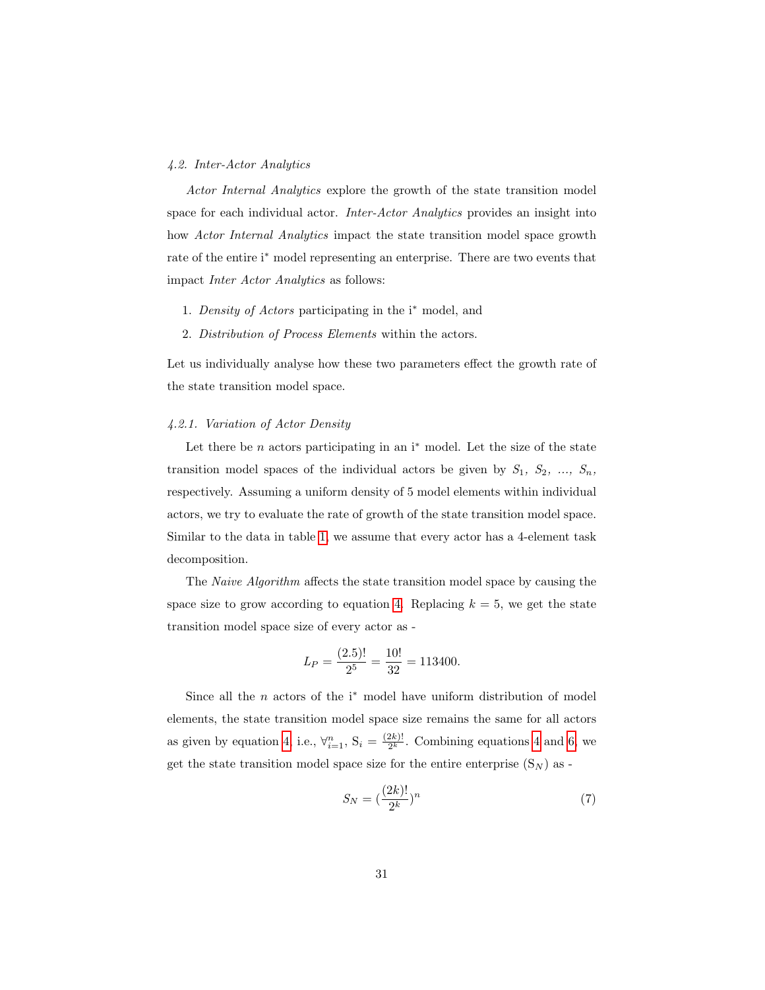## 4.2. Inter-Actor Analytics

Actor Internal Analytics explore the growth of the state transition model space for each individual actor. Inter-Actor Analytics provides an insight into how Actor Internal Analytics impact the state transition model space growth rate of the entire i<sup>∗</sup> model representing an enterprise. There are two events that impact Inter Actor Analytics as follows:

- 1. Density of Actors participating in the i<sup>∗</sup> model, and
- 2. Distribution of Process Elements within the actors.

Let us individually analyse how these two parameters effect the growth rate of the state transition model space.

#### 4.2.1. Variation of Actor Density

Let there be  $n$  actors participating in an i<sup>\*</sup> model. Let the size of the state transition model spaces of the individual actors be given by  $S_1$ ,  $S_2$ , ...,  $S_n$ , respectively. Assuming a uniform density of 5 model elements within individual actors, we try to evaluate the rate of growth of the state transition model space. Similar to the data in table [1,](#page-12-1) we assume that every actor has a 4-element task decomposition.

The Naive Algorithm affects the state transition model space by causing the space size to grow according to equation [4.](#page-12-0) Replacing  $k = 5$ , we get the state transition model space size of every actor as -

$$
L_P = \frac{(2.5)!}{2^5} = \frac{10!}{32} = 113400.
$$

Since all the  $n$  actors of the i<sup>\*</sup> model have uniform distribution of model elements, the state transition model space size remains the same for all actors as given by equation [4,](#page-12-0) i.e.,  $\forall_{i=1}^{n}$ ,  $S_i = \frac{(2k)!}{2^k}$  $\frac{2k}{2^k}$ . Combining equations [4](#page-12-0) and [6,](#page-26-0) we get the state transition model space size for the entire enterprise  $(S_N)$  as -

$$
S_N = \left(\frac{(2k)!}{2^k}\right)^n\tag{7}
$$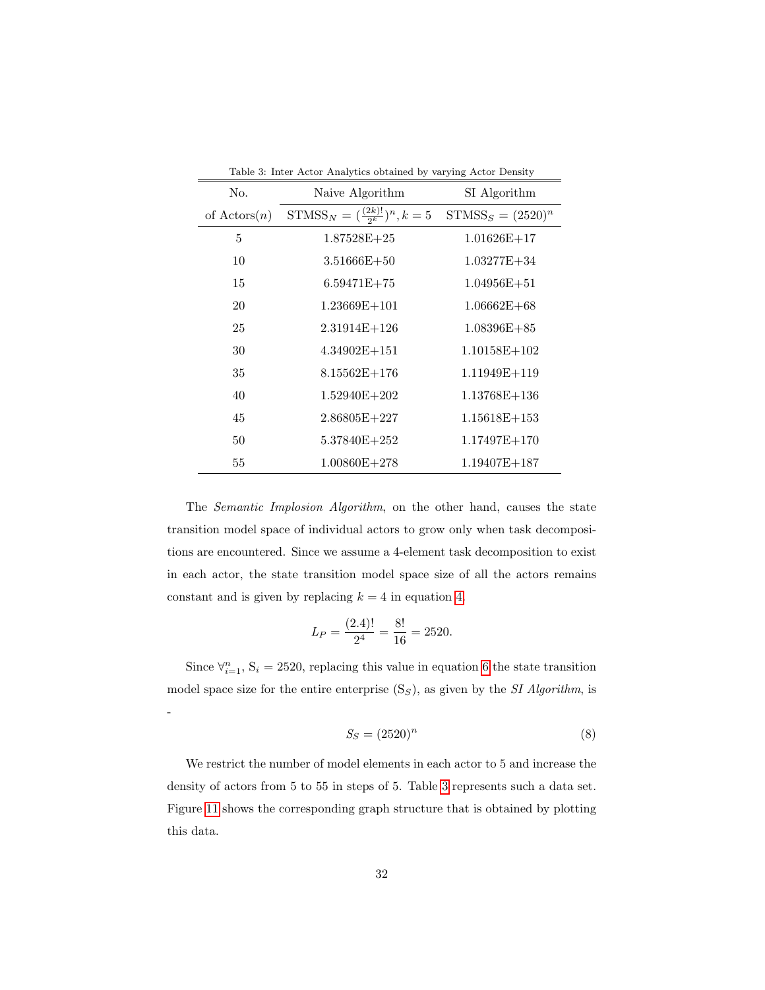<span id="page-31-0"></span>

| Table 3: Inter Actor Analytics obtained by varying Actor Density |                                          |                      |  |  |
|------------------------------------------------------------------|------------------------------------------|----------------------|--|--|
| No.                                                              | Naive Algorithm                          | SI Algorithm         |  |  |
| of $\text{Actors}(n)$                                            | $STMSS_N = (\frac{(2k)!}{2^k})^n, k = 5$ | $STMSS_S = (2520)^n$ |  |  |
| 5                                                                | $1.87528E+25$                            | $1.01626E+17$        |  |  |
| 10                                                               | $3.51666E + 50$                          | $1.03277E + 34$      |  |  |
| 15                                                               | $6.59471E+75$                            | $1.04956E + 51$      |  |  |
| 20                                                               | $1.23669E + 101$                         | $1.06662E + 68$      |  |  |
| 25                                                               | $2.31914E+126$                           | $1.08396E + 85$      |  |  |
| 30                                                               | $4.34902E+151$                           | $1.10158E + 102$     |  |  |
| 35                                                               | $8.15562E+176$                           | 1.11949E+119         |  |  |
| 40                                                               | $1.52940E + 202$                         | $1.13768E + 136$     |  |  |
| 45                                                               | $2.86805E+227$                           | $1.15618E + 153$     |  |  |
| 50                                                               | $5.37840E + 252$                         | $1.17497E + 170$     |  |  |
| 55                                                               | $1.00860E + 278$                         | $1.19407E + 187$     |  |  |

The Semantic Implosion Algorithm, on the other hand, causes the state transition model space of individual actors to grow only when task decompositions are encountered. Since we assume a 4-element task decomposition to exist in each actor, the state transition model space size of all the actors remains constant and is given by replacing  $k = 4$  in equation [4.](#page-12-0)

$$
L_P = \frac{(2.4)!}{2^4} = \frac{8!}{16} = 2520.
$$

Since  $\forall_{i=1}^{n}$ , S<sub>i</sub> = 2520, replacing this value in equation [6](#page-26-0) the state transition model space size for the entire enterprise  $(S_S)$ , as given by the *SI Algorithm*, is -

$$
S_S = (2520)^n \tag{8}
$$

We restrict the number of model elements in each actor to 5 and increase the density of actors from 5 to 55 in steps of 5. Table [3](#page-31-0) represents such a data set. Figure [11](#page-32-0) shows the corresponding graph structure that is obtained by plotting this data.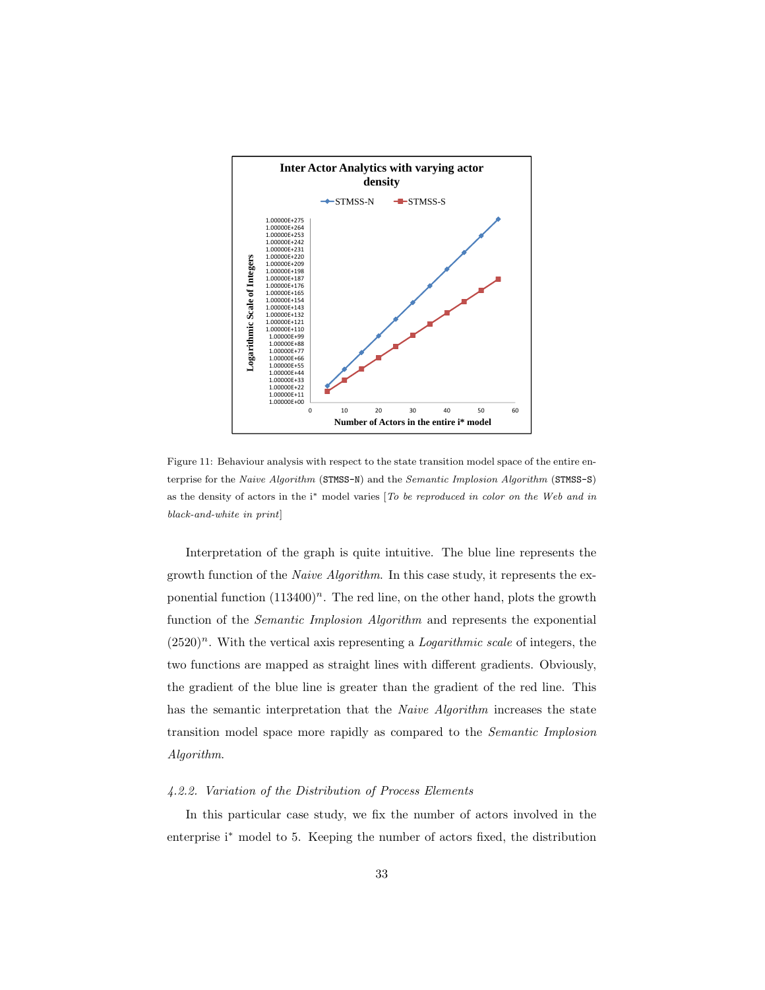

<span id="page-32-0"></span>Figure 11: Behaviour analysis with respect to the state transition model space of the entire enterprise for the Naive Algorithm (STMSS-N) and the Semantic Implosion Algorithm (STMSS-S) as the density of actors in the i<sup>∗</sup> model varies [To be reproduced in color on the Web and in black-and-white in print]

Interpretation of the graph is quite intuitive. The blue line represents the growth function of the Naive Algorithm. In this case study, it represents the exponential function  $(113400)^n$ . The red line, on the other hand, plots the growth function of the Semantic Implosion Algorithm and represents the exponential  $(2520)^n$ . With the vertical axis representing a *Logarithmic scale* of integers, the two functions are mapped as straight lines with different gradients. Obviously, the gradient of the blue line is greater than the gradient of the red line. This has the semantic interpretation that the *Naive Algorithm* increases the state transition model space more rapidly as compared to the Semantic Implosion Algorithm.

## 4.2.2. Variation of the Distribution of Process Elements

In this particular case study, we fix the number of actors involved in the enterprise i<sup>∗</sup> model to 5. Keeping the number of actors fixed, the distribution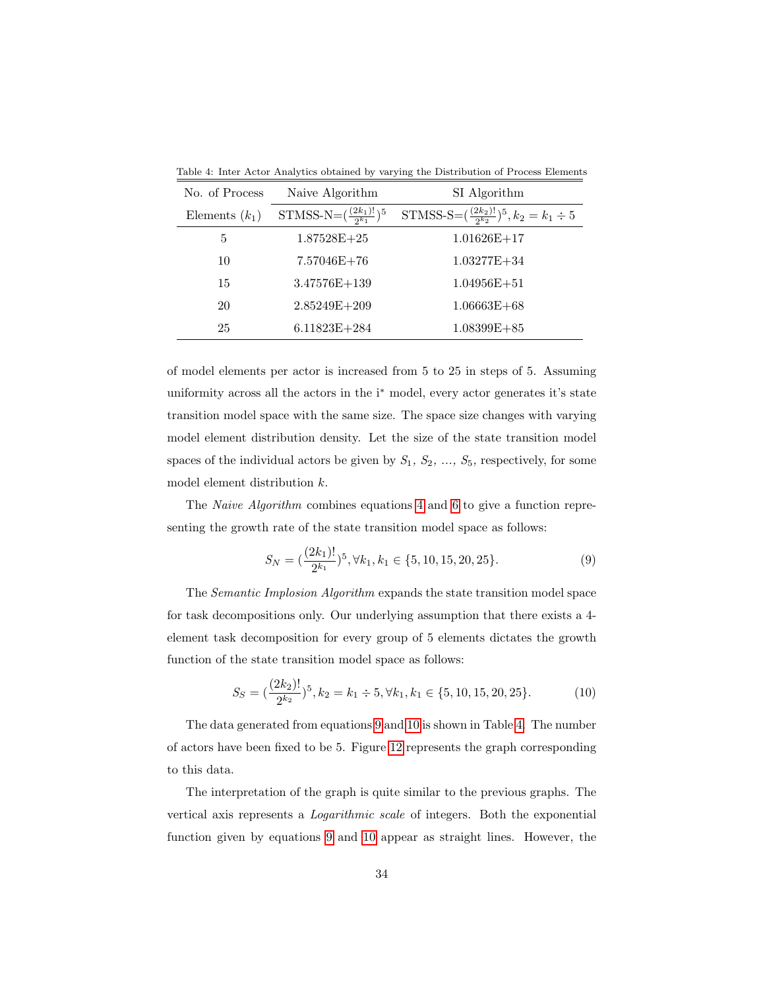| No. of Process   | Naive Algorithm                        | SI Algorithm                                                |
|------------------|----------------------------------------|-------------------------------------------------------------|
| Elements $(k_1)$ | STMSS-N= $(\frac{(2k_1)!}{2^{k_1}})^5$ | STMSS-S= $(\frac{(2k_2)!}{2^{k_2}})^5$ , $k_2 = k_1 \div 5$ |
| 5                | $1.87528E+25$                          | $1.01626E+17$                                               |
| 10               | $7.57046E+76$                          | $1.03277E + 34$                                             |
| 15               | $3.47576E + 139$                       | $1.04956E + 51$                                             |
| 20               | $2.85249E+209$                         | $1.06663E + 68$                                             |
| 25               | $6.11823E + 284$                       | $1.08399E + 85$                                             |

<span id="page-33-2"></span>Table 4: Inter Actor Analytics obtained by varying the Distribution of Process Elements

of model elements per actor is increased from 5 to 25 in steps of 5. Assuming uniformity across all the actors in the i<sup>\*</sup> model, every actor generates it's state transition model space with the same size. The space size changes with varying model element distribution density. Let the size of the state transition model spaces of the individual actors be given by  $S_1, S_2, ..., S_5$ , respectively, for some model element distribution k.

The Naive Algorithm combines equations [4](#page-12-0) and [6](#page-26-0) to give a function representing the growth rate of the state transition model space as follows:

<span id="page-33-1"></span><span id="page-33-0"></span>
$$
S_N = \left(\frac{(2k_1)!}{2^{k_1}}\right)^5, \forall k_1, k_1 \in \{5, 10, 15, 20, 25\}.
$$
 (9)

The Semantic Implosion Algorithm expands the state transition model space for task decompositions only. Our underlying assumption that there exists a 4 element task decomposition for every group of 5 elements dictates the growth function of the state transition model space as follows:

$$
S_S = \left(\frac{(2k_2)!}{2^{k_2}}\right)^5, k_2 = k_1 \div 5, \forall k_1, k_1 \in \{5, 10, 15, 20, 25\}.
$$
 (10)

The data generated from equations [9](#page-33-0) and [10](#page-33-1) is shown in Table [4.](#page-33-2) The number of actors have been fixed to be 5. Figure [12](#page-34-0) represents the graph corresponding to this data.

The interpretation of the graph is quite similar to the previous graphs. The vertical axis represents a Logarithmic scale of integers. Both the exponential function given by equations [9](#page-33-0) and [10](#page-33-1) appear as straight lines. However, the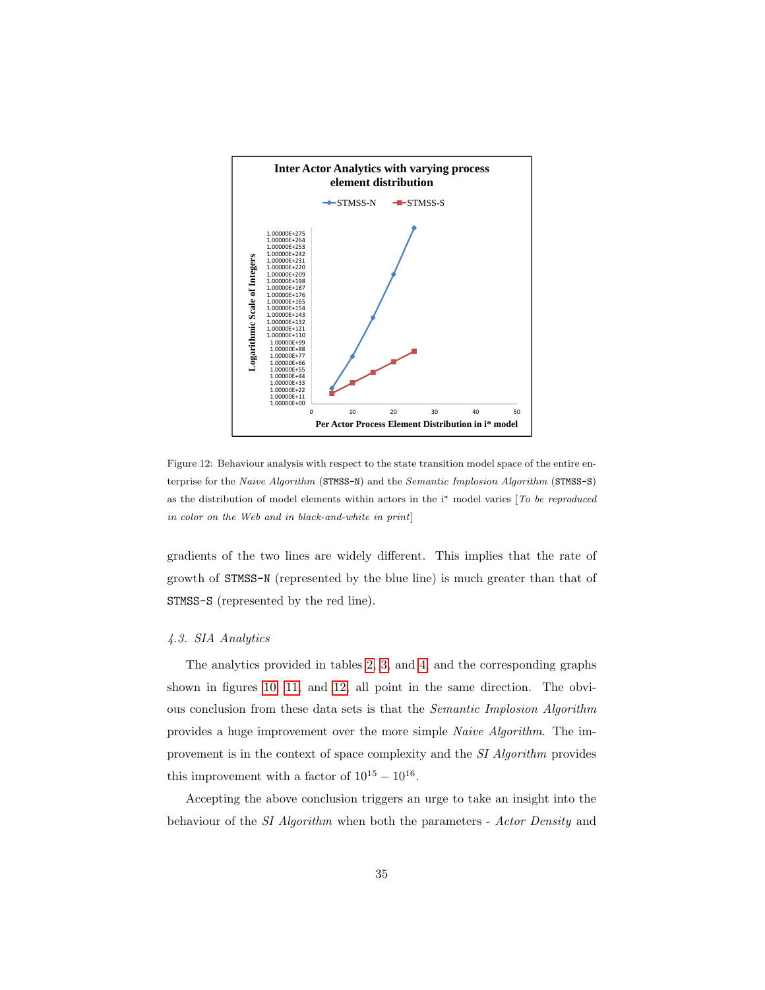

<span id="page-34-0"></span>Figure 12: Behaviour analysis with respect to the state transition model space of the entire enterprise for the Naive Algorithm (STMSS-N) and the Semantic Implosion Algorithm (STMSS-S) as the distribution of model elements within actors in the i<sup>∗</sup> model varies [To be reproduced in color on the Web and in black-and-white in print]

gradients of the two lines are widely different. This implies that the rate of growth of STMSS-N (represented by the blue line) is much greater than that of STMSS-S (represented by the red line).

## 4.3. SIA Analytics

The analytics provided in tables [2,](#page-28-0) [3,](#page-31-0) and [4,](#page-33-2) and the corresponding graphs shown in figures [10,](#page-29-0) [11,](#page-32-0) and [12,](#page-34-0) all point in the same direction. The obvious conclusion from these data sets is that the Semantic Implosion Algorithm provides a huge improvement over the more simple Naive Algorithm. The improvement is in the context of space complexity and the SI Algorithm provides this improvement with a factor of  $10^{15} - 10^{16}$ .

Accepting the above conclusion triggers an urge to take an insight into the behaviour of the SI Algorithm when both the parameters - Actor Density and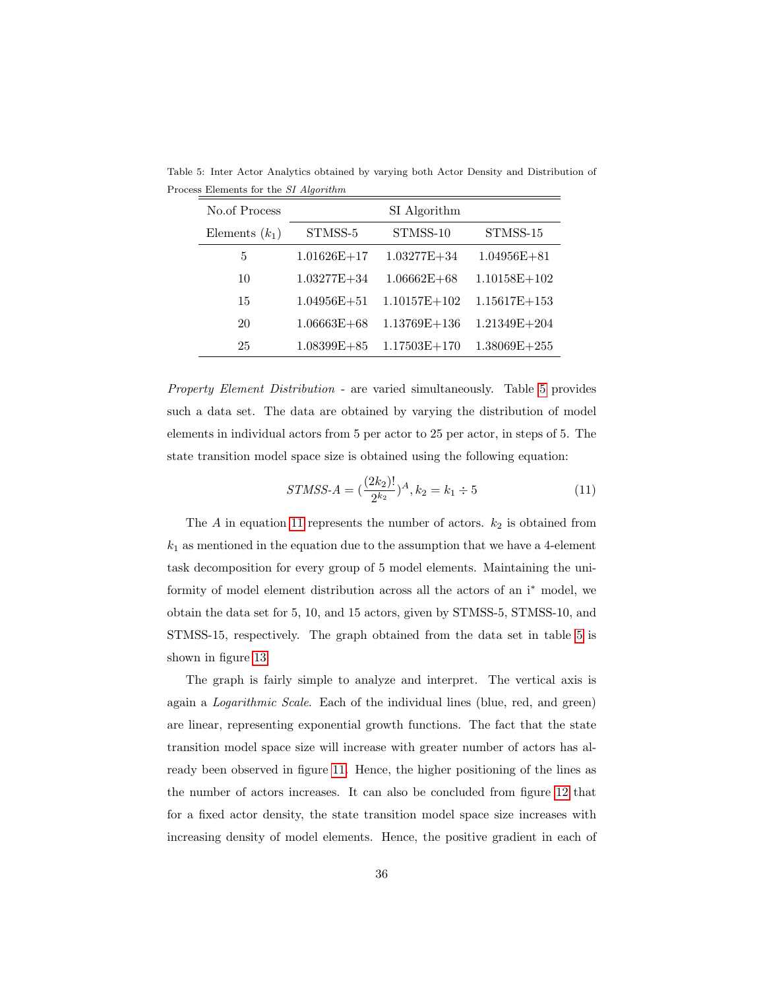<span id="page-35-0"></span>

| No.of Process    | SI Algorithm    |                  |                  |
|------------------|-----------------|------------------|------------------|
| Elements $(k_1)$ | STMSS-5         | STMSS-10         | STMSS-15         |
| 5                | $1.01626E+17$   | $1.03277E + 34$  | $1.04956E + 81$  |
| 10               | $1.03277E + 34$ | $1.06662E + 68$  | $1.10158E + 102$ |
| 15               | $1.04956E + 51$ | $1.10157E+102$   | $1.15617E + 153$ |
| 20               | $1.06663E + 68$ | $1.13769E + 136$ | $1.21349E + 204$ |
| 25               | $1.08399E + 85$ | $1.17503E + 170$ | $1.38069E + 255$ |

Table 5: Inter Actor Analytics obtained by varying both Actor Density and Distribution of Process Elements for the SI Algorithm

Property Element Distribution - are varied simultaneously. Table [5](#page-35-0) provides such a data set. The data are obtained by varying the distribution of model elements in individual actors from 5 per actor to 25 per actor, in steps of 5. The state transition model space size is obtained using the following equation:

<span id="page-35-1"></span>
$$
STMSS-A = \left(\frac{(2k_2)!}{2^{k_2}}\right)^A, k_2 = k_1 \div 5 \tag{11}
$$

The  $A$  in equation [11](#page-35-1) represents the number of actors.  $k_2$  is obtained from  $k_1$  as mentioned in the equation due to the assumption that we have a 4-element task decomposition for every group of 5 model elements. Maintaining the uniformity of model element distribution across all the actors of an i<sup>∗</sup> model, we obtain the data set for 5, 10, and 15 actors, given by STMSS-5, STMSS-10, and STMSS-15, respectively. The graph obtained from the data set in table [5](#page-35-0) is shown in figure [13.](#page-36-1)

The graph is fairly simple to analyze and interpret. The vertical axis is again a Logarithmic Scale. Each of the individual lines (blue, red, and green) are linear, representing exponential growth functions. The fact that the state transition model space size will increase with greater number of actors has already been observed in figure [11.](#page-32-0) Hence, the higher positioning of the lines as the number of actors increases. It can also be concluded from figure [12](#page-34-0) that for a fixed actor density, the state transition model space size increases with increasing density of model elements. Hence, the positive gradient in each of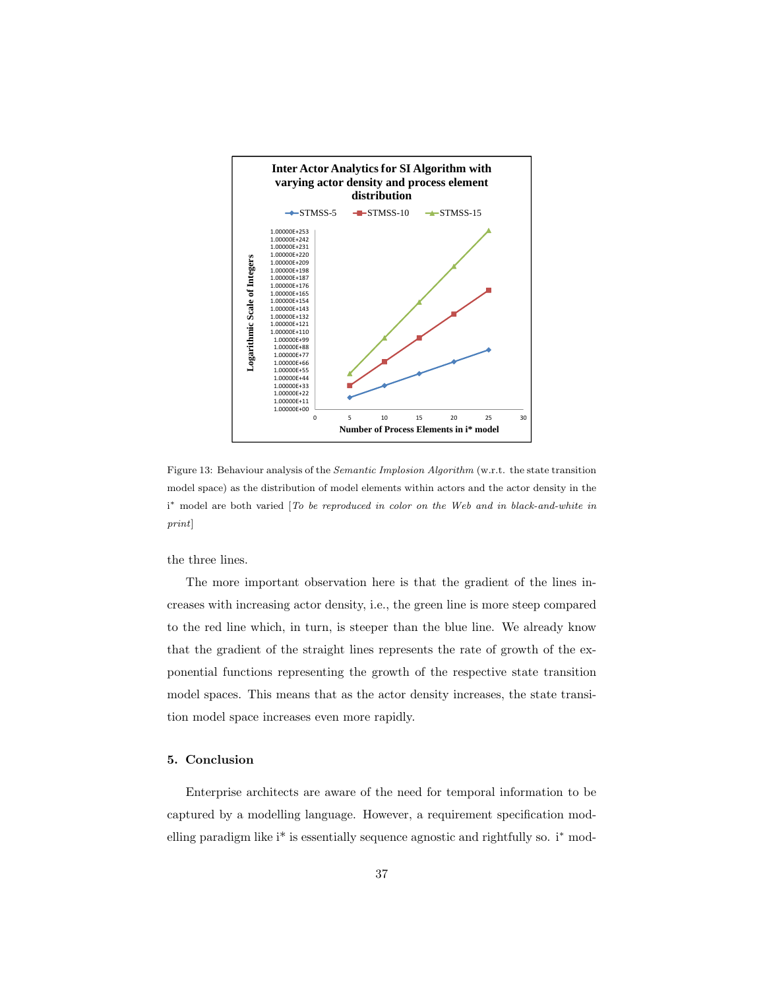

<span id="page-36-1"></span>Figure 13: Behaviour analysis of the Semantic Implosion Algorithm (w.r.t. the state transition model space) as the distribution of model elements within actors and the actor density in the i<sup>\*</sup> model are both varied [To be reproduced in color on the Web and in black-and-white in print]

the three lines.

The more important observation here is that the gradient of the lines increases with increasing actor density, i.e., the green line is more steep compared to the red line which, in turn, is steeper than the blue line. We already know that the gradient of the straight lines represents the rate of growth of the exponential functions representing the growth of the respective state transition model spaces. This means that as the actor density increases, the state transition model space increases even more rapidly.

## <span id="page-36-0"></span>5. Conclusion

Enterprise architects are aware of the need for temporal information to be captured by a modelling language. However, a requirement specification modelling paradigm like i\* is essentially sequence agnostic and rightfully so. i<sup>∗</sup> mod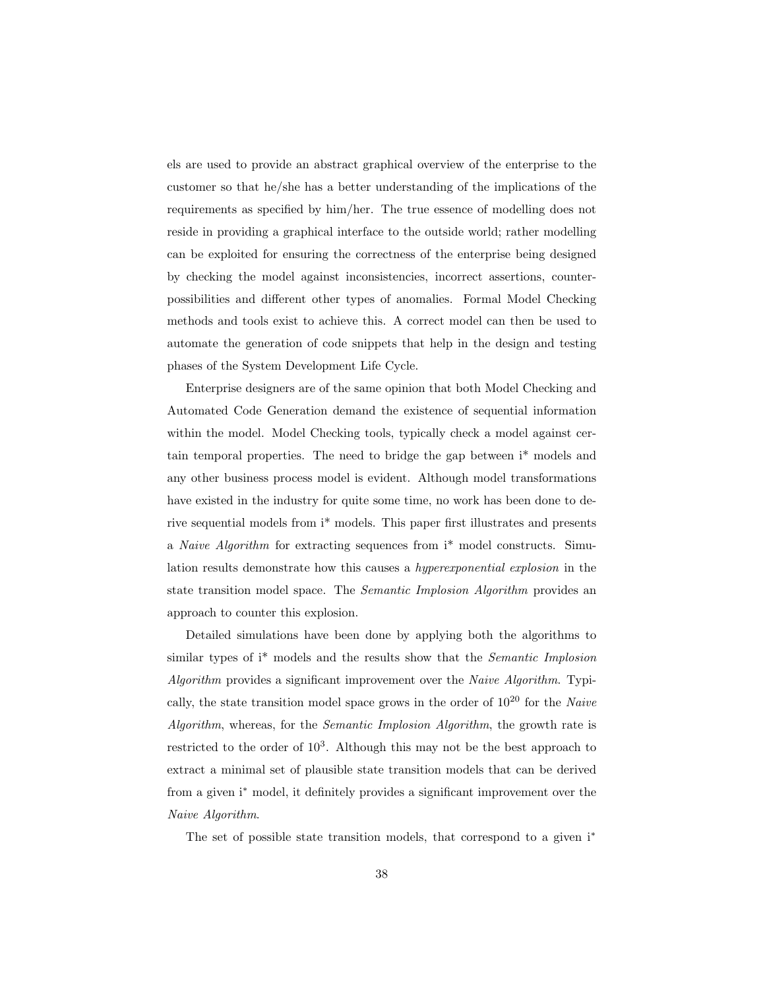els are used to provide an abstract graphical overview of the enterprise to the customer so that he/she has a better understanding of the implications of the requirements as specified by him/her. The true essence of modelling does not reside in providing a graphical interface to the outside world; rather modelling can be exploited for ensuring the correctness of the enterprise being designed by checking the model against inconsistencies, incorrect assertions, counterpossibilities and different other types of anomalies. Formal Model Checking methods and tools exist to achieve this. A correct model can then be used to automate the generation of code snippets that help in the design and testing phases of the System Development Life Cycle.

Enterprise designers are of the same opinion that both Model Checking and Automated Code Generation demand the existence of sequential information within the model. Model Checking tools, typically check a model against certain temporal properties. The need to bridge the gap between i\* models and any other business process model is evident. Although model transformations have existed in the industry for quite some time, no work has been done to derive sequential models from i\* models. This paper first illustrates and presents a Naive Algorithm for extracting sequences from i\* model constructs. Simulation results demonstrate how this causes a hyperexponential explosion in the state transition model space. The Semantic Implosion Algorithm provides an approach to counter this explosion.

Detailed simulations have been done by applying both the algorithms to similar types of i<sup>\*</sup> models and the results show that the *Semantic Implosion* Algorithm provides a significant improvement over the Naive Algorithm. Typically, the state transition model space grows in the order of  $10^{20}$  for the Naive Algorithm, whereas, for the *Semantic Implosion Algorithm*, the growth rate is restricted to the order of  $10^3$ . Although this may not be the best approach to extract a minimal set of plausible state transition models that can be derived from a given i<sup>∗</sup> model, it definitely provides a significant improvement over the Naive Algorithm.

The set of possible state transition models, that correspond to a given i<sup>\*</sup>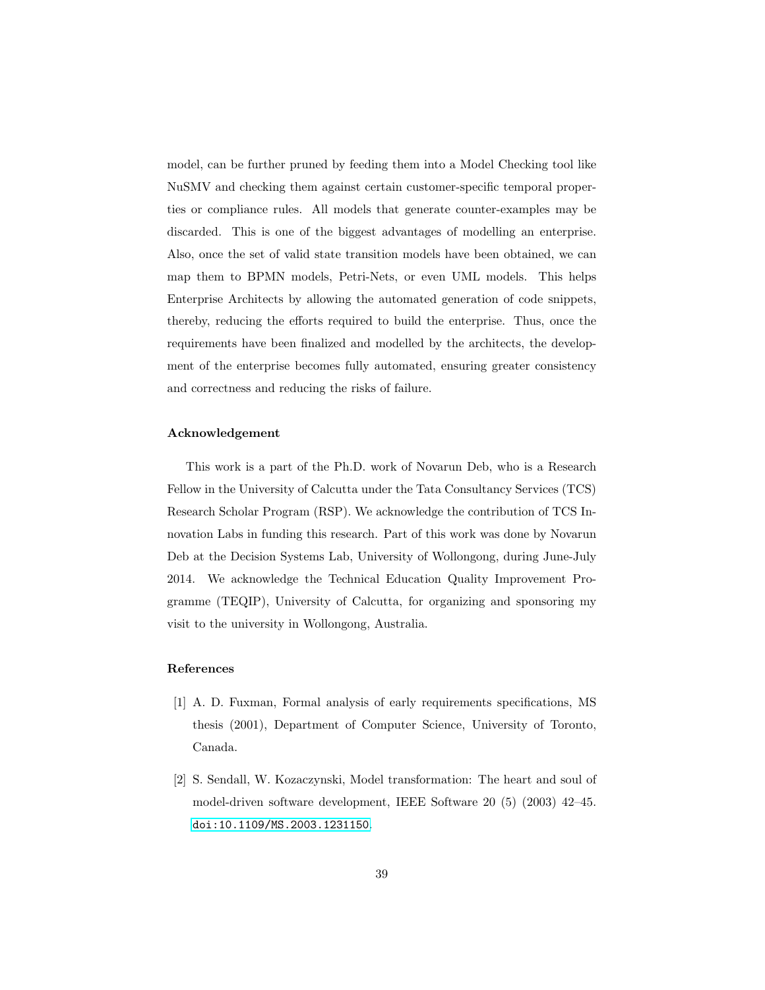model, can be further pruned by feeding them into a Model Checking tool like NuSMV and checking them against certain customer-specific temporal properties or compliance rules. All models that generate counter-examples may be discarded. This is one of the biggest advantages of modelling an enterprise. Also, once the set of valid state transition models have been obtained, we can map them to BPMN models, Petri-Nets, or even UML models. This helps Enterprise Architects by allowing the automated generation of code snippets, thereby, reducing the efforts required to build the enterprise. Thus, once the requirements have been finalized and modelled by the architects, the development of the enterprise becomes fully automated, ensuring greater consistency and correctness and reducing the risks of failure.

## Acknowledgement

This work is a part of the Ph.D. work of Novarun Deb, who is a Research Fellow in the University of Calcutta under the Tata Consultancy Services (TCS) Research Scholar Program (RSP). We acknowledge the contribution of TCS Innovation Labs in funding this research. Part of this work was done by Novarun Deb at the Decision Systems Lab, University of Wollongong, during June-July 2014. We acknowledge the Technical Education Quality Improvement Programme (TEQIP), University of Calcutta, for organizing and sponsoring my visit to the university in Wollongong, Australia.

## References

- <span id="page-38-0"></span>[1] A. D. Fuxman, Formal analysis of early requirements specifications, MS thesis (2001), Department of Computer Science, University of Toronto, Canada.
- <span id="page-38-1"></span>[2] S. Sendall, W. Kozaczynski, Model transformation: The heart and soul of model-driven software development, IEEE Software 20 (5) (2003) 42–45. [doi:10.1109/MS.2003.1231150](http://dx.doi.org/10.1109/MS.2003.1231150).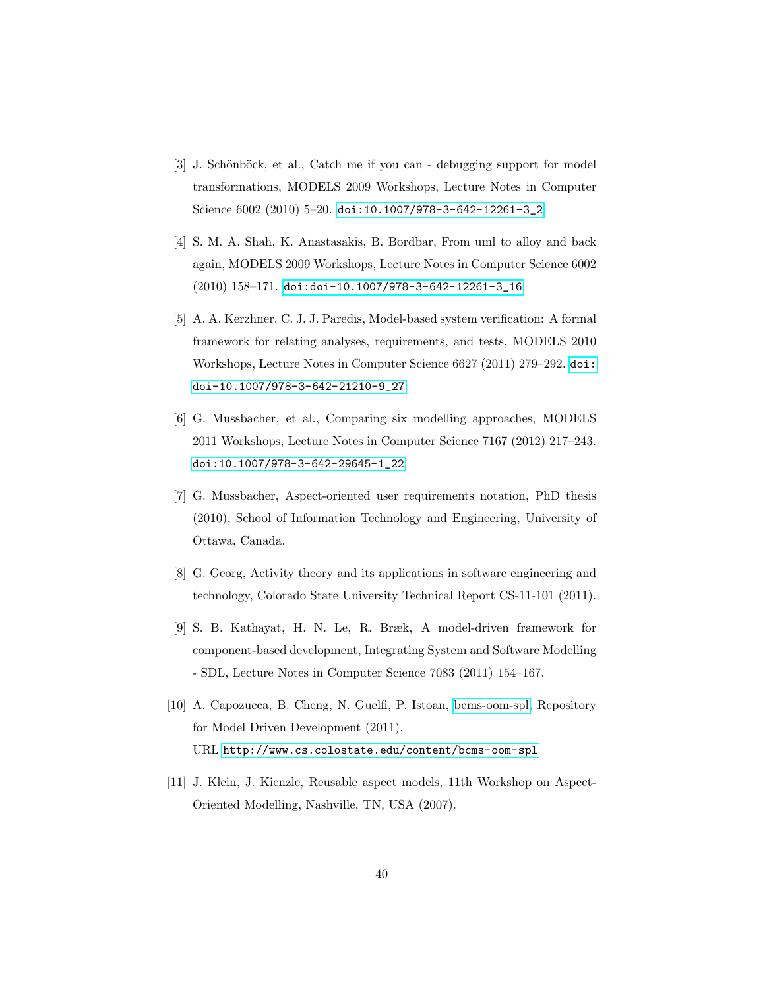- <span id="page-39-0"></span>[3] J. Schönböck, et al., Catch me if you can - debugging support for model transformations, MODELS 2009 Workshops, Lecture Notes in Computer Science 6002 (2010) 5–20. [doi:10.1007/978-3-642-12261-3\\_2](http://dx.doi.org/10.1007/978-3-642-12261-3_2).
- <span id="page-39-1"></span>[4] S. M. A. Shah, K. Anastasakis, B. Bordbar, From uml to alloy and back again, MODELS 2009 Workshops, Lecture Notes in Computer Science 6002 (2010) 158–171. [doi:doi-10.1007/978-3-642-12261-3\\_16](http://dx.doi.org/doi - 10.1007/978-3-642-12261-3_16).
- <span id="page-39-2"></span>[5] A. A. Kerzhner, C. J. J. Paredis, Model-based system verification: A formal framework for relating analyses, requirements, and tests, MODELS 2010 Workshops, Lecture Notes in Computer Science 6627 (2011) 279–292. [doi:](http://dx.doi.org/doi - 10.1007/978-3-642-21210-9_27) [doi-10.1007/978-3-642-21210-9\\_27](http://dx.doi.org/doi - 10.1007/978-3-642-21210-9_27).
- <span id="page-39-3"></span>[6] G. Mussbacher, et al., Comparing six modelling approaches, MODELS 2011 Workshops, Lecture Notes in Computer Science 7167 (2012) 217–243. [doi:10.1007/978-3-642-29645-1\\_22](http://dx.doi.org/10.1007/978-3-642-29645-1_22).
- <span id="page-39-4"></span>[7] G. Mussbacher, Aspect-oriented user requirements notation, PhD thesis (2010), School of Information Technology and Engineering, University of Ottawa, Canada.
- <span id="page-39-5"></span>[8] G. Georg, Activity theory and its applications in software engineering and technology, Colorado State University Technical Report CS-11-101 (2011).
- <span id="page-39-6"></span>[9] S. B. Kathayat, H. N. Le, R. Bræk, A model-driven framework for component-based development, Integrating System and Software Modelling - SDL, Lecture Notes in Computer Science 7083 (2011) 154–167.
- <span id="page-39-7"></span>[10] A. Capozucca, B. Cheng, N. Guelfi, P. Istoan, [bcms-oom-spl,](http://www.cs.colostate.edu/content/bcms-oom-spl) Repository for Model Driven Development (2011). URL <http://www.cs.colostate.edu/content/bcms-oom-spl>
- <span id="page-39-8"></span>[11] J. Klein, J. Kienzle, Reusable aspect models, 11th Workshop on Aspect-Oriented Modelling, Nashville, TN, USA (2007).